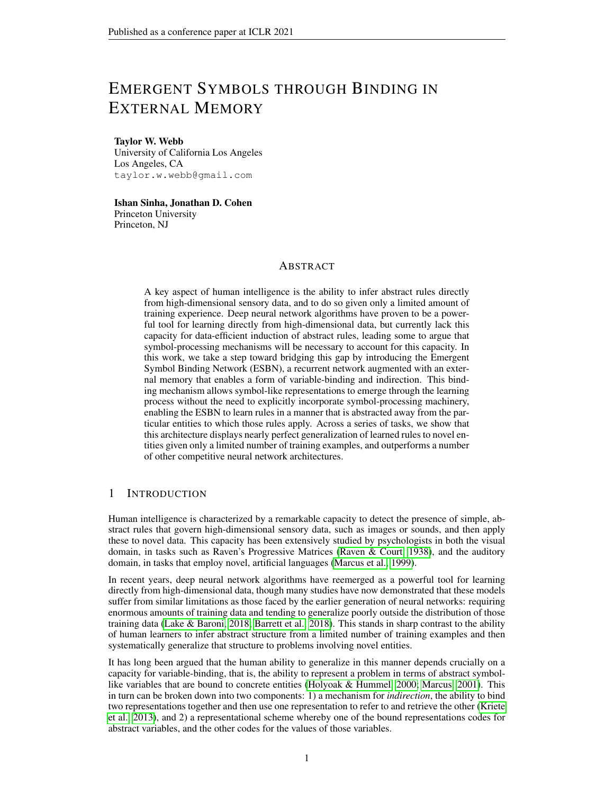# EMERGENT SYMBOLS THROUGH BINDING IN EXTERNAL MEMORY

#### Taylor W. Webb

University of California Los Angeles Los Angeles, CA taylor.w.webb@gmail.com

## Ishan Sinha, Jonathan D. Cohen Princeton University Princeton, NJ

## ABSTRACT

A key aspect of human intelligence is the ability to infer abstract rules directly from high-dimensional sensory data, and to do so given only a limited amount of training experience. Deep neural network algorithms have proven to be a powerful tool for learning directly from high-dimensional data, but currently lack this capacity for data-efficient induction of abstract rules, leading some to argue that symbol-processing mechanisms will be necessary to account for this capacity. In this work, we take a step toward bridging this gap by introducing the Emergent Symbol Binding Network (ESBN), a recurrent network augmented with an external memory that enables a form of variable-binding and indirection. This binding mechanism allows symbol-like representations to emerge through the learning process without the need to explicitly incorporate symbol-processing machinery, enabling the ESBN to learn rules in a manner that is abstracted away from the particular entities to which those rules apply. Across a series of tasks, we show that this architecture displays nearly perfect generalization of learned rules to novel entities given only a limited number of training examples, and outperforms a number of other competitive neural network architectures.

# 1 INTRODUCTION

Human intelligence is characterized by a remarkable capacity to detect the presence of simple, abstract rules that govern high-dimensional sensory data, such as images or sounds, and then apply these to novel data. This capacity has been extensively studied by psychologists in both the visual domain, in tasks such as Raven's Progressive Matrices (Raven & Court, 1938), and the auditory domain, in tasks that employ novel, artificial languages (Marcus et al., 1999).

In recent years, deep neural network algorithms have reemerged as a powerful tool for learning directly from high-dimensional data, though many studies have now demonstrated that these models suffer from similar limitations as those faced by the earlier generation of neural networks: requiring enormous amounts of training data and tending to generalize poorly outside the distribution of those training data (Lake & Baroni, 2018; Barrett et al., 2018). This stands in sharp contrast to the ability of human learners to infer abstract structure from a limited number of training examples and then systematically generalize that structure to problems involving novel entities.

It has long been argued that the human ability to generalize in this manner depends crucially on a capacity for variable-binding, that is, the ability to represent a problem in terms of abstract symbollike variables that are bound to concrete entities (Holyoak & Hummel, 2000; Marcus, 2001). This in turn can be broken down into two components: 1) a mechanism for *indirection*, the ability to bind two representations together and then use one representation to refer to and retrieve the other (Kriete et al., 2013), and 2) a representational scheme whereby one of the bound representations codes for abstract variables, and the other codes for the values of those variables.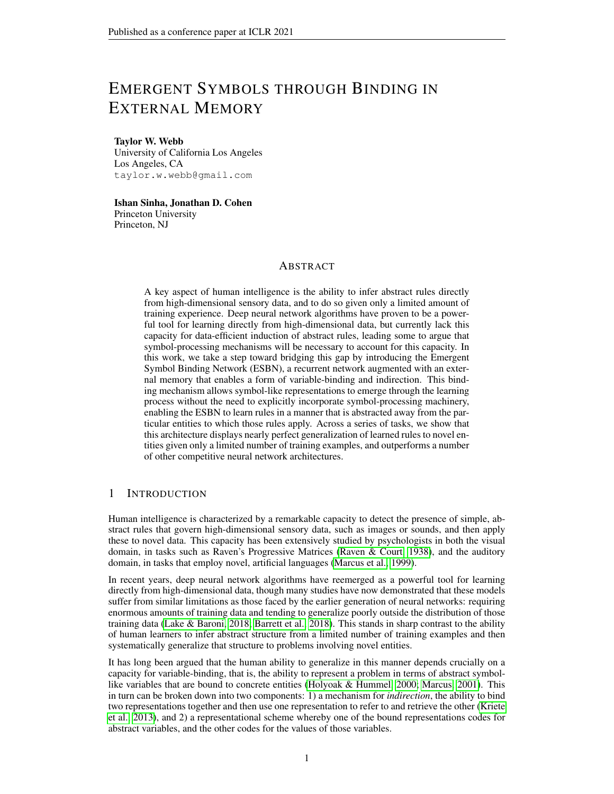In this work, we present a novel architecture designed around the goal of having a capacity for abstract variable-binding. This is accomplished through two important design considerations. First, the architecture possesses an explicit mechanism for indirection, in the form of a two-column external memory. Second, the architecture is separated into two information-processing streams, one that maintains learned embeddings of concrete entities (in our case, images), and one in which a recurrent controller learns to represent and operate over task-relevant variables. These two streams only interact in the form of bindings in the external memory, allowing the controller to learn to perform tasks in a manner that is abstracted away from the particular entities involved. We refer to this architecture as the Emergent Symbol Binding Network (ESBN), due to the fact that this arrangement allows abstract, symbol-like representations to emerge during the learning process, without the need to incorporate symbolic machinery.

We evaluate this architecture on a suite of tasks involving relationships among images that are governed by abstract rules. Across these tasks, we show that the ESBN is capable of learning abstract rules from a limited number of training examples and systematically generalizing these rules to novel entities. By contrast, the other architectures that we evaluate are capable of learning these rules in some cases, but fail to generalize them successfully when trained on a limited number of problems involving a limited number of entities. We conclude from these results that a capacity for variable-binding is a necessary component for human-like abstraction and generalization, and that the ESBN is a promising candidate for how to incorporate such a capacity into neural network algorithms.

## 2 TASKS



Figure 1: Abstract rule learning tasks. Each task involves generalizing rules to objects not seen during training. (a) Same/different discrimination task. (b) Relational match-to-sample task (answer is 2). (c) Distribution-of-three task (answer is 2). (d) Identity rules task (ABA pattern, answer is 1).

We consider a series of tasks, each involving the application of an abstract rule to a set of images. For all tasks, we employ the same set of  $n = 100$  images, in which each image is a distinct Unicode character (the specific characters used are shown in A.7). We construct training sets in which m images are withheld (where  $0$  m n  $\alpha$ , and  $\alpha$  is the minimum number of images necessary  $m \quad n \quad o$ , and o is the minimum number of images necessary to create a problem in a given task) consisting of problems that employ only the remaining  $(n)$  $m$ ) images, and then test on problems that employ only the m withheld images, thus requiring generalization to novel entities. In the easiest generalization regime  $(m = 0)$  the test set contains problems composed of the same entities as observed during training (though the exact order of these entities differs). In the most extreme generalization regime, we evaluate models that have only been trained on the minimum number of entities for a given task, and then must generalize what they learn to the majority of the  $n$  images in the complete set. This regime poses an extremely challenging test of the ability to learn to perform these tasks from limited training experience, in a manner that is abstracted away from the specific entities observed during training.

The first task that we study is a *same/different discrimination* task (Figure 1a). In this task, two images are presented, and the task is to determine whether they are the same or different. Though this task may appear quite simple, it has been shown that the ability to generalize this simple rule to novel entities is actually a significant challenge for deep neural networks (Kim et al., 2018), a pattern that we also observe in our results.

The second task that we consider is a *relational match-to-sample* (RMTS) task (Figure 1b), essentially a higher-order version of a same/different task. In this task, a *source* pair of objects is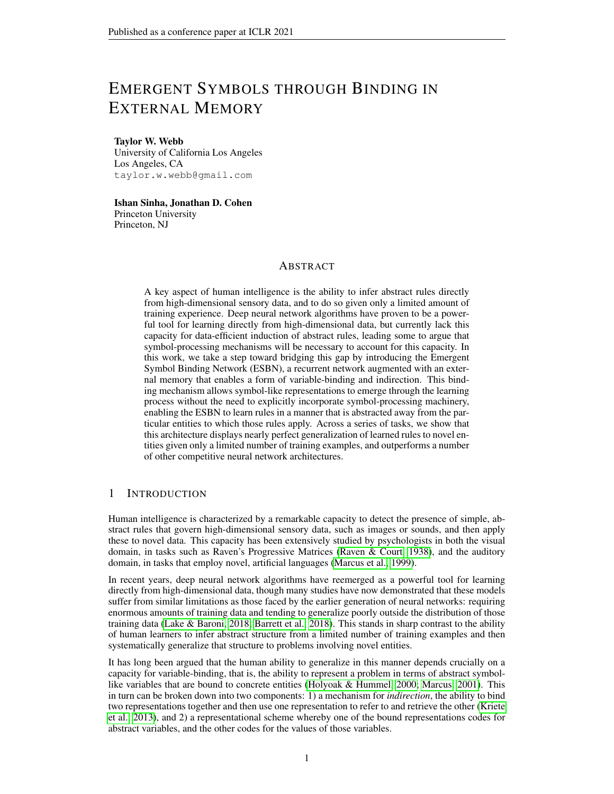compared to two *target* pairs. The task is to identify the target pair with the same relation as the source pair; e.g., if the source pair contains two of the same object, to identify the target pair that contains two of the same object. It was initially believed that the ability to perform this task is not unique to humans (Premack, 1983), but it has now been shown that this ability depends on a visual entropy confound that arises from using large arrays of objects rather than simple pairs (Fagot et al., 2001). When the task is presented in a manner that does not allow this confound to be exploited (as is the case in our experiments), the ability to perform the task with novel entities appears to be unique to humans, and therefore is a good test of the human ability for abstract rule learning.

Next we consider a task based on Raven's Progressive Matrices (RPM; Raven & Court (1938)). RPM is a commonly used visual problem-solving task, and is one of the most widely used tests of *fluid intelligence* (Snow et al., 1984), the ability to reason and make inferences in a novel domain (as opposed to *crystallized intelligence*, the ability to solve familiar tasks). In this task, a 3 3 array of figural elements is presented, in which the elements are governed by a simple rule, or set of rules, with the lower right element of the array left blank. The task is to infer the rule that governs the elements in the array, and then use that rule to select from among 8 candidate completions. Many of the rules that govern RPM problems are relations involving sets. One such rule is sometimes referred to as *distribution-of-three* (Carpenter et al., 1990), according to which the same set of three elements (e.g. a triangle, square, and circle) will appear in each row, though the order doesn't matter. The task in this case is simply to identify the set, determining which element is missing from the final row, and locating this element among the choices.

Though multiple RPM-inspired datasets have recently been proposed (Barrett et al., 2018; Zhang et al., 2019), in this work we choose to strip away unnecessary complexity, focusing on 2 3 arrays governed by a single rule (Figure 1c), in order to focus specifically on the capacity for generalization of an abstract rule to novel entities. We find that, even in this simplified setting, this form of generalization is extremely challenging.

The final task that we consider is a visual version of the *identity rules* task studied by Marcus et al. (1999). In this task, an abstract pattern (e.g. ABA or ABB) must be inferred from a sequence of elements. For instance, in the original study, the following sequence 'ga ni ga, li na li, wo fe wo' is governed by an ABA rule, whereas the sequence 'ga ni ni, li na na, wo fe fe' is governed by an ABB rule. This study played an important role in debates concerning the presence of algebraic rulelike processes in human cognition, because it demonstrated that even 7-month-old human infants are capable of detecting this abstract regularity and generalizing it to novel entities, whereas neural networks tend to overfit to the specific entities involved and fail to generalize the rule.

In our implementation, we use visual images rather than sounds, and present the task as a  $2 \times 3$  array (Figure 1d). In this task, each problem is governed by either an ABA, ABB, or AAA rule. The task is to determine which of these patterns is present in the first row, and then to apply that pattern by selecting an element from a set of 4 choices to complete the second row.

For all four tasks, we consider generalization regimes in which some number of images ( $m \nightharpoonup 2$ )  $f(0, 50, 85, 95q)$  out of  $n = 100$  are withheld from training. For the same/different discrimination task, on which only two images are necessary to construct a problem, we also consider the case in which  $m = 98$  (such that the training set consists of problems involving only  $n - m = 2$  images, the minimum number necessary to construct the task).

In most settings, we construct training sets consisting of  $10<sup>4</sup>$  problems. This is a tiny fraction of all possible problems (on the order of  $10^9$  when the multiple choice options are considered)<sup>1</sup> Thus, even in the easiest generalization regime ( $m = 0$ ) this is an extremely small amount of training data relative to the size of the task space. In the most extreme regimes, in which  $m$  95, it is only possible to construct a few hundred problems, resulting in even more limited training experience.

# 3 APPROACH

For each task, we treat the problem as a sequence of images  $x_{t=1}$ ...  $x_{t=T}$ , with an associated target y. In the same/different discrimination task, there are  $T = 2$  images, and y is a binary target indicating whether the images are the same or different. In the RMTS task, there are  $T = 6$  images,

<sup>&</sup>lt;sup>1</sup>Except for the same/different task, as detailed in A.2.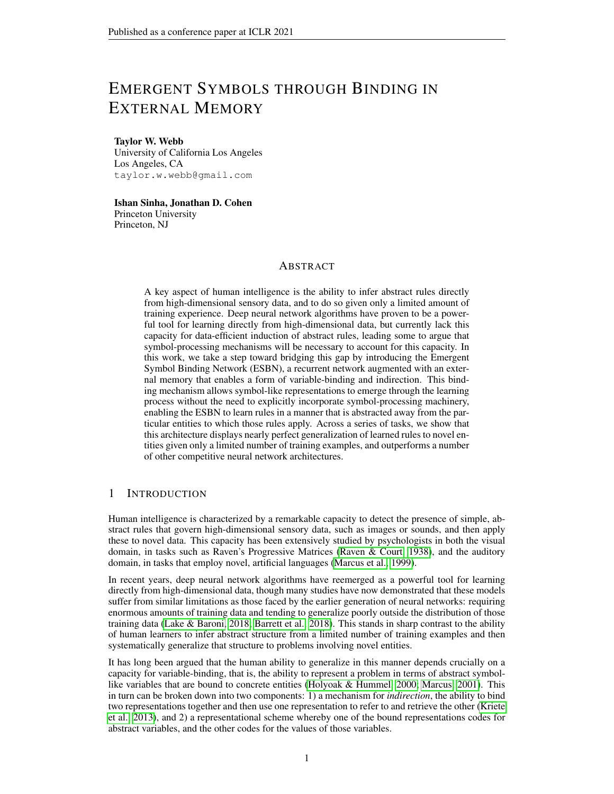consisting of the source pair followed by two target pairs, and  $\gamma$  is a binary target indicating which target pair matches the source pair. In both the distribution-of-three task and the identity rules task, there are  $T = 9$  images, consisting of the three entries in the first row, the two non-empty entries in the second row, and the four multiple-choice options, and  $y$  is a four-way classification target, indicating which of the multiple-choice options is correct.

All images are 32 32 grayscale images containing a single Unicode character. For each problem, we first process each image independently by a shared encoder  $f_e$ , generating image embeddings  $z_{t=1}$ ...  $z_{t=T}$ , and then pass these embeddings to a sequential model component  $f_s$  that generates a response (either through a sigmoid output layer for tasks with a binary target, or a softmax layer for tasks with a four-way classification target). The sequential component is either the ESBN or one of a number of alternative architectures described below. We use the same encoder architecture  $f_e$ (detailed in A.3) for all models. All components are trained end-to-end, including the encoder.

## 3.1 TEMPORAL CONTEXT NORMALIZATION

We use temporal context normalization (TCN), recently shown to improve out-of-distribution generalization in relational reasoning tasks (Webb et al., 2020). TCN is similar to batch normalization, but, instead of normalizing over the batch dimension, normalizes over a task-relevant temporal window. This has the effect of preserving information about the relations between the entities present within this window (e.g. the size of those entities relative to one another), resulting in better generalization of learned relations to novel contexts (i.e. out-of-distribution).

We found that TCN significantly improved generalization for all of the models on all of the tasks studied in the present work<sup>2</sup>. Therefore, the primary results we report all incorporate this technique ( A.5.1 includes a comparison of the performance of all models on all tasks with and without TCN). Specifically, we applied TCN to the embeddings  $z_{t=1} \dots z_{t=T}$  extracted by the encoder. Webb et al. (2020) also reported that it is sometimes useful to apply TCN separately to different components of a sequence. We found that this was the case for the RMTS task that we studied, in which we found it useful to apply TCN separately to the embeddings for the source pair and each target pair. For all of the other tasks that we studied, TCN was applied over the entire sequence for each problem.

#### 3.2 EMERGENT SYMBOL BINDING NETWORK



Figure 2: Emergent Symbol Binding Network.  $f_s$  consists of an LSTM controller plus output layers for  $\hat{y}$ ,  $k_w$ , and g (not shown).  $f_e$  is a multilayer feedforward encoder that translates an image  $x$ into a low-dimensional embedding z. These two pathways only interact indirectly via a key/value memory.

The ESBN (Figure 2; Algorithm 1) uses an LSTM controller  $(f_s)$  with a differentiable external memory that is explicitly separated into keys ( $M_k$ ) and values ( $M_v$ ). At each time step t, a key/value pair is written to memory. The keys written to memory,  $k_{w_t}$ , are generated by an output layer from the LSTM controller, and the values are the individual input embeddings,  $z_t$ , of the input sequence, unmodified by the LSTM. Our hypothesis was that factoring the model into two separate information processing streams would allow the LSTM to learn how to represent abstract variables in the keys

<sup>&</sup>lt;sup>2</sup>Except for the PrediNet on the same/different task, as detailed in A.5.1.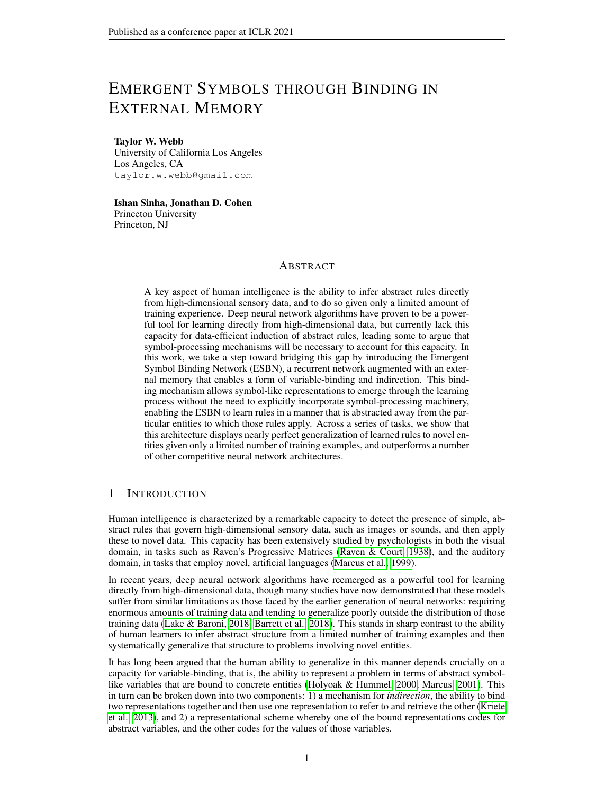it generates, which could then be explicitly bound to associated values (image embeddings) learned by the separate encoder network  $(f_e)$ , allowing the ESBN to employ a form of indirection.

To retrieve keys from memory, similarity scores are computed by comparing (via a dot product) the image embedding  $z_t$  to all of the values in memory  $M_{v_{t-1}}$ . These similarity scores are passed through a softmax nonlinearity to generate weights  $w_{k_t}$ , and passed through a sigmoid nonlinearity (with learned gain and bias parameters,  $\gamma$  and  $\beta$ ) to generate confidence values  $c_{k_t}$  (one weight and confidence value per entry in memory). The weights are used to compute 1) a weighted sum of all keys in memory  $M_{k_{t-1}}$ , and 2) a weighted sum of all associated confidence values  $c_{k_t}$ . Finally, the retrieved key and associated confidence value are concatenated and multiplied by a learned sigmoidal gate  $g_t$  to form  $k_{r_t}$ , the input to the LSTM controller at the next time step.

**Algorithm 1:** Emergent Symbol Binding Network.  $(k)$  indicates the concatenation of a vector and a scalar, forming a vector with one additional dimension.  $f, g$  indicates the concatenation of a matrix and a vector, forming a matrix with one additional row.  $\sigma()$  is the logistic sigmoid function.

```
k_{r_{t=0}} 0;<br>h_{t=0} 0;
h_{t=0} 0;<br>
M_{k_{t=0}} fg;
M_{k_{t=0}}M_{V_{t=0}} fg;
for t in 1 \ldots T do
       z_t f_e(\mathbf{x}_t);\hat{\mathbf{y}}_t, g_t, \mathbf{k}_{w_t}, \mathbf{h}_t f_s(\mathbf{h}_{t-1}, \mathbf{k}_{r_{t-1}});if t is 1 then
              k_{r_t} 0;
      else
              w_{k_t} softmax(M_{V_{t-1}} z<sub>t</sub>);
              c_{k_t} σ(\gamma(M_{V_{t-1}} z<sub>t</sub>) + \beta);
              k_{r_t} g_t \sum_{t=1}^{t-1}i=1w_{k_t}(i)(M_{k_{t-1}}(i)kc_{k_t}(i));
      end
       M_{k_t} fM<sub>k<sub>t−1</sub>, k<sub>wt</sub> g;</sub>
       M_{V_t} fM<sub>V_{t-1}</sub>, z<sub>t</sub>g;
end
return \mathbf{\hat{y}}_{t=\tau}
```
#### 3.3 ALTERNATIVE ARCHITECTURES

The simplest alternative architecture that we consider is an *LSTM* (Hochreiter & Schmidhuber, 1997) without external memory. We pass the low-dimensional embeddings  $z_{t=1} \dots z_{t=T}$  directly to the LSTM, and generate a prediction  $\hat{y}$  by passing the final hidden state through an output layer.

Next we consider two alternative external memory architectures: the *Neural Turing Machine* (NTM; Graves et al. (2014)) and *Metalearned Neural Memory* (MNM; Munkhdalai et al. (2019)). This comparison allows us to determine to what extent our results depend on the specific details of the ESBN's external memory, and, in particular, the separation between its two informationprocessing pathways vs. the mere presence of an external memory. Our NTM implementation consists of an LSTM controller (which takes image embeddings as input, and generates a prediction  $\hat{y}$  as output) that interacts with an external memory using both content-based and location-based read/write mechanisms. Our MNM implementation employs the publicly available code from the original paper, modified so as to employ the same encoder architecture and TCN procedure as the other architectures that we test. Just as with the ESBN, we allow both of these architectures an extra time step to process the information retrieved from memory following the final input.

We also consider the *Relation Net* (RN; Santoro et al. (2017)), an architecture that has proven to be an effective approach for a wide range of relational reasoning tasks. In our implementation, we treat the low-dimensional image embeddings as individual 'objects' in the RN framework, using a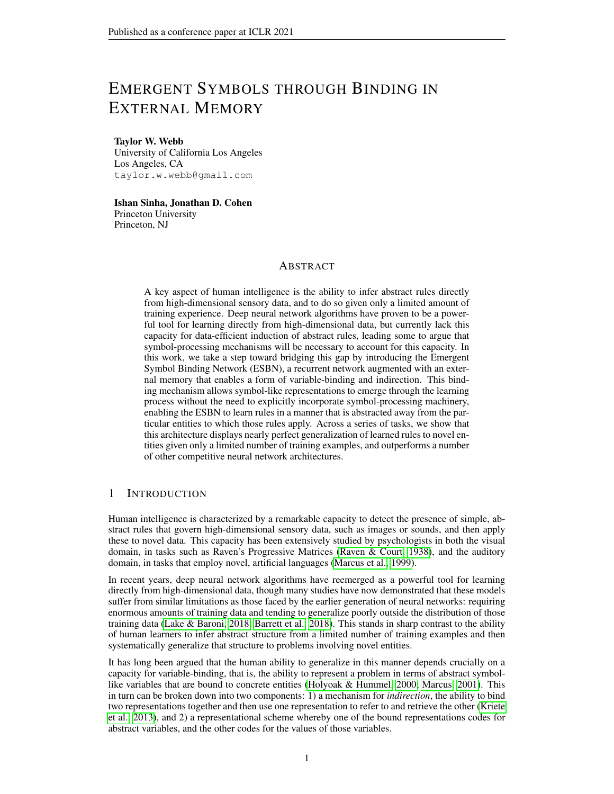shared MLP to process all pair-wise combinations of these embeddings, summing the outputs from this MLP, and then passing them to another MLP that generates the prediction  $\hat{y}$ .

We also compare our model against the *Transformer* (Vaswani et al., 2017), an architecture originally developed in the domain of natural language processing, but has proven to be effective for a wide range of sequential data, and demonstrated a capacity for some degree of extrapolation (Saxton et al., 2019). After applying the transformer architecture to the sequence of image embeddings (allowing self-attention between these embeddings), we compute an average of the (transformed) embeddings, and then pass this to a small MLP that then generates the task output  $\hat{y}$ .

Finally, we consider the *PrediNet* (Shanahan et al., 2019). PrediNet was designed with the goal of being 'explicitly relational,' and has been shown to be effective at generalizing learned relations to novel entities. We apply the PrediNet's multi-head attention over the 1D temporal sequence of image embeddings (as opposed to applying attention over a 2D image, as in the original work), and then pass the output of the PrediNet module to a small MLP that generates  $\hat{y}$ .



4 RESULTS

Figure 3: Results for all four tasks with m objects withheld (out of  $n = 100$ ) during training. Results reflect test accuracy averaged over 10 trained networks ( the standard error of the mean).

Figure 3 shows the generalization results for all four tasks. Our primary finding is that the ESBN displayed nearly perfect generalization ( 95%) of the learned rule in all four tasks, even when trained on a very limited number of problems (just hundreds of problems, in the case of the most extreme generalization regimes) involving a limited number of entities (as few as just two entities, in the case of the same/different task), and tested on completely novel entities. Some of the alternative architectures that we evaluated showed a surprising capability to generalize to novel entities in some tasks as seen, for instance, in the generalization results for the Transformer and RN on the same/different and RMTS tasks (though we note that all architectures incorporate TCN, without which generalization is significantly worse, as shown in A.5.1). Nevertheless, none of these alternative architectures were able to generalize what they learned in the most extreme generalization regimes, whereas the ESBN performed comparably well across all regimes.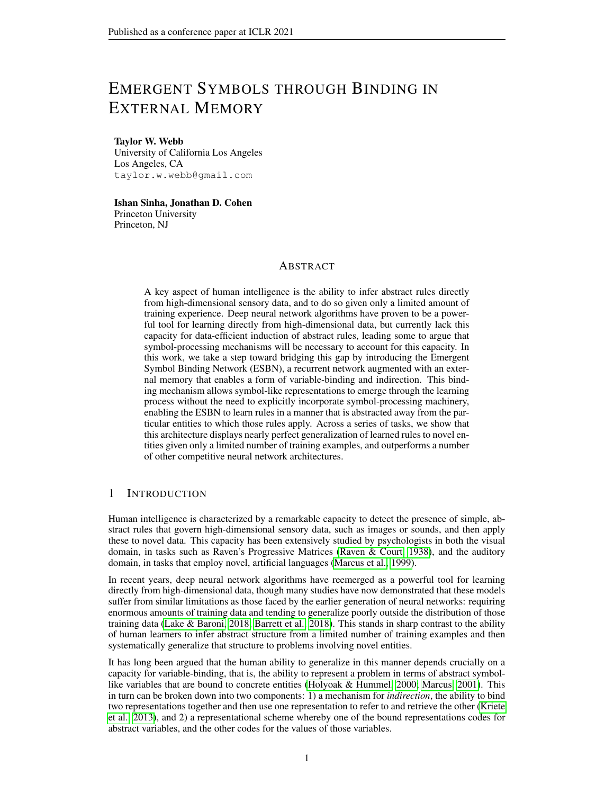Notably, the RN performed very poorly on the distribution-of-three and identity rules tasks, even in the easiest regime ( $m = 0$ ). We speculate that this results from the fact that the RN is biased toward pair-wise relations, whereas these tasks are both based on a ternary relation. It is possible to represent this ternary relation as a combination of pair-wise relations, but doing so requires a more complex strategy and therefore likely more training data. We include results in A.5.2 demonstrating that the RN is capable of successfully generalizing in this task (though not in the most extreme regimes) when trained on an order of magnitude more data  $(10<sup>5</sup>$  instead of  $10<sup>4</sup>$  examples). We also present results for the Temporal Relation Network (Zhou et al., 2018), an RN variant that incorporates ternary relations via subsampling, though we find that this doesn't help as much as increasing the amount of training data.



Figure 4: Training accuracy time courses for all models on the  $m = 0$  regime. Each time course reflects an average over 10 trained networks. Error bars reflect the standard error of the mean.

In addition to requiring a very small amount of training data and generalizing systematically to novel entities, the ESBN also requires very little training time. Figure 4 shows training accuracy time courses for the RMTS, distribution-of-three, and identity rules tasks for all models <sup>3</sup>. The ESBN converged to nearly perfect training accuracy within 100 to 200 training updates on all four tasks, whereas the other models required thousands, or even tens of thousands of training updates to reach convergence<sup>4</sup>.

We also performed some experiments to better understand how the ESBN operates, and why it was so effective. First, we tested whether the systematic generalization exhibited by the ESBN was dependent on the use of convolutional layers in the encoder, which naturally confer a significant degree of generalization in tasks that involve shape recognition. We found that the ESBN generalized to novel entities comparably well when using either an MLP encoder or a random projection (see A.5.4 for details), suggesting that the ESBN is capable of generalizing learned rules to any arbitrary set of entities, regardless of how those entities are encoded. For comparison, we also performed the same experiments with the Transformer (the best performing alternative architecture on our tasks) and found that, by contrast, its performance was significantly impaired by the use of a random projection instead of a convolutional encoder.

Second, we performed an ablation experiment on the confidence value appended to retrieved memories. We found that ablation of these confidence values impaired the ESBN's performance in both the same/different and RMTS tasks, but not the distribution-of-three or identity rules tasks (see A.5.5 for details). A likely reason for this result is that the distribution-of-three and identity rules tasks only require retrieval of the best match from memory, whereas the same/different and RMTS tasks require a sense of how good of a match that memory is, which is exactly the information that the confidence value conveys. This dissociation mirrors the distinction sometimes made in cognitive psychology between recollection and familiarity (Yonelinas, 2001).

Third, we performed an analysis of the key representations learned by the controller. We hypothesized that the controller would learn to represent abstract variables in the keys that it writes to memory, and that these representations therefore shouldn't vary based on the values to which they are bound. This analysis revealed a high degree of overlap between the keys written during training

<sup>&</sup>lt;sup>3</sup>We found that all models converged within a few hundred training updates on the relatively easy same/different discrimination task, so those time courses are omitted here, but shown in A.5.3.

<sup>4</sup>Note that all models eventually reached convergence, though this required that some of them be trained longer than is depicted in these figures, as detailed in A.4.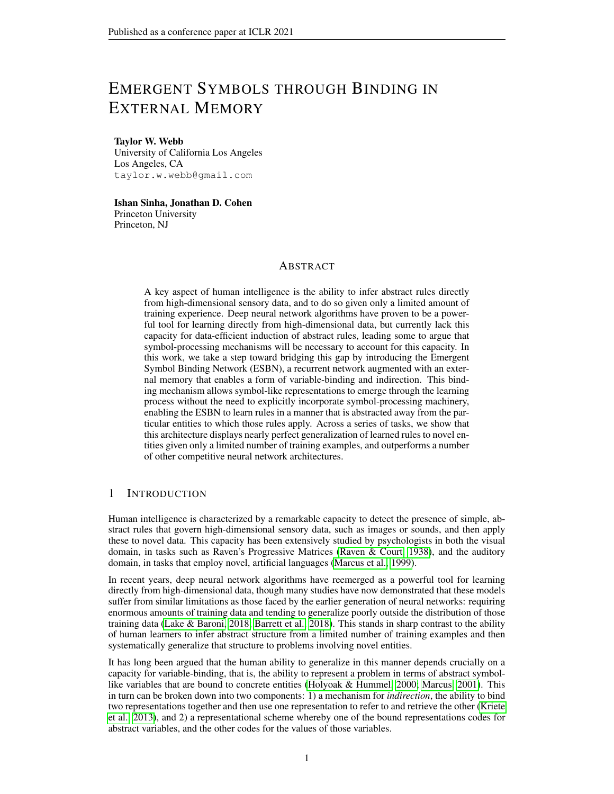and test (involving entirely different entities), suggesting that this was indeed the case (see A.6 for details). This ability to arbitrarily bind values to variables, without affecting the representations of those variables, is a key property of symbol-processing systems, and is likely the basis of the strong systematic generalization exhibited by the ESBN.

# 5 RELATED WORK

There have been a number of proposals for augmenting neural networks with an external memory. An influential early line of work, Complementary Learning Systems (McClelland et al., 1995), proposed that neural systems benefit from having components that learn on different time scales, and argues that this combination allows neural networks both to learn general, abstract structure (using standard learning algorithms) and to rapidly encode arbitrary new items (using an external memory). In recent years, there have been a number of proposals for how to implement the latter efficiently, including Fast Weights (Ba et al., 2016a), the NTM and closely related Differentiable Neural Computer (Graves et al., 2016), and the Differentiable Neural Dictionary (DND; Pritzel et al. (2017)). Our external memory approach is most closely related to the DND, which also involves a two-column key/value memory. Variations on key/value memory have also been employed in other more recently proposed approaches, such as the Memory Recall Agent (Fortunato et al., 2019) and the Dual-Coding Episodic Memory (Hill et al., 2020), where it afforded various benefits in terms of generalization. One critical difference between our model and this previous work is that the ESBN's controller is forced to interact with perceptual inputs only indirectly through its memory, a design decision that we argue is crucial to its ability to systematically generalize what it learns.

It is worth noting that architectures such as Fast Weights and the NTM are, in principle, capable of implementing variable-binding, though it is a separate question whether such a strategy will result from learning in any particular task. Along these lines, a recent study from Chen et al. (2019) found that both of these architectures are capable of generalizing learned structure to novel entities when allowed a sufficiently dense sampling of the space of potential objects (the 'objects' in their study were randomly sampled 50-dimensional vectors). This contrasts with our findings, in which the NTM performed poorly when trained on far fewer samples from a much higher-dimensional space (in the  $m = 95$  regime). This suggests that indirection and variable-binding, though possible in principle for architectures such as the NTM, do not emerge in practice when given only a limited amount of training experience, whereas this capacity is explicitly built into the ESBN.

At a high level, the idea of factoring a model into two distinct information processing streams, one that codes abstract task-relevant variables or roles and one that codes concrete entities, has been explored before. Kriete et al. (2013) proposed the PBWM Indirection model, in which one population of neurons acted as a pointer to another population of neurons by gating its activity, and showed that this model enabled a significant degree of generalization to novel role/filler bindings. Whittington et al. (2019) proposed the Tolman-Eichenbaum machine, a model that is capable of learning abstract relational structure (such as 2D spatial maps), and showed that this model captured a number of phenomena relating to grid cells and place cells. Russin et al. (2019) proposed Syntactic Attention, an architecture involving separate pathways for processing syntax vs. semantics, and showed that this approach was capable of a significant degree of compositional generalization on the challenging SCAN dataset. Relative to this previous work, our central contribution is the development of a simple model that can learn abstract rules directly from high-dimensional data (images), exploiting this same high-level idea to enable nearly perfect generalization of those rules to novel entities.

There has been extensive modeling work focusing on some of the tasks that we study. The recent development of two datasets modeled after Raven's Progressive Matrices, Procedurally Generated Matrices (Barrett et al., 2018), and RAVEN (Zhang et al., 2019), has spurred the development of models that are capable of solving RPM-like problems (Jahrens & Martinetz, 2020; Wu et al., 2020). However, these models typically require very large training sets (on the order of 10<sup>6</sup> training examples), and largely fail to generalize outside of the specific conditions under which they are trained, whereas the ESBN exhibits the ability to learn rapidly and generalize out-of-distribution.

There have also been a number of models proposed to account for the human ability to rapidly learn identity rules (Alhama & Zuidema, 2019). Though some of these models achieved significant generalization of learned identity rules to novel entities, they did so mostly through the inclusion of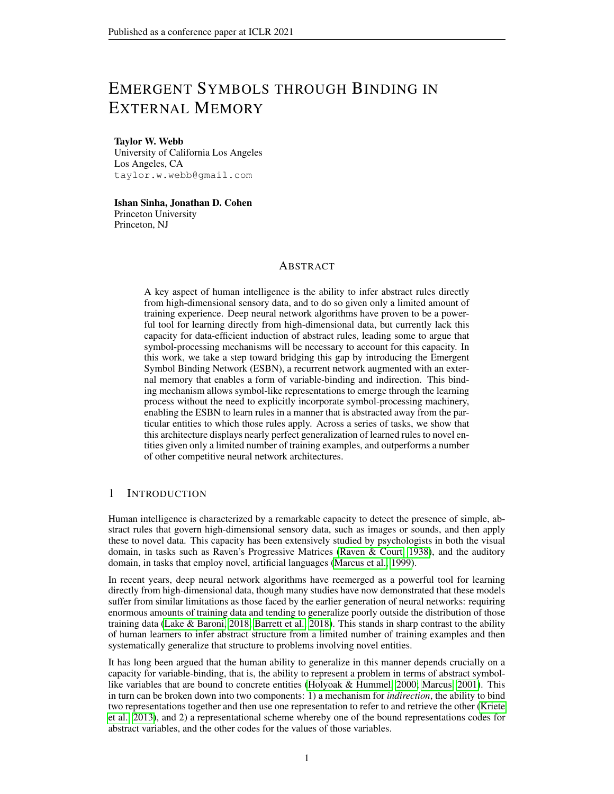highly task-specific mechanisms. By contrast, our aim in the present work was to present a general approach that could be applied to a wider range of tasks.

Finally, there have been a number of recent proposals for so-called 'neurosymbolic' models, incorporating elements from both the neural network and symbolic modeling frameworks (Mao et al., 2019; Nye et al., 2020). Though we have emphasized the notion of 'emergent symbols' in the present work, we stress that this is quite distinct from neurosymbolic modeling efforts since we do not explicitly incorporate any symbolic machinery into the ESBN. Instead, our approach was to show how the functional equivalent of symbols can emerge in a neural network model with an appropriate architecture and binding mechanism.

# 6 DISCUSSION

## 6.1 LIMITATIONS AND FUTURE WORK

One open question is whether the strict division between the two information processing streams in the ESBN is necessary, and whether it limits the sorts of relations and rules that it can learn. In future work, it may be desirable to soften this division, for instance by encouraging it in a regularization term, rather than strictly enforcing it architecturally.

A second limitation is that the tasks we study are not as complex as other similar tasks that have recently been studied, such as the two recently proposed RPM-like benchmarks (Barrett et al., 2018; Zhang et al., 2019). In the present work, we intentionally stripped away some of this complexity in order to make progress on the issue of out-of-distribution generalization. Extending the ESBN to more complex tasks will likely require the incorporation of visual attention mechanisms to enable selective sequential processing of individual elements within a scene. There are many recently proposed approaches for doing this (Gregor et al., 2015; Locatello et al., 2020). In future work, we look forward to extending the ESBN in this manner and testing it on more complex tasks.

## 6.2 RELATION TO WORK IN NEUROSCIENCE

It is worth considering how the present work relates to pre-existing theories of how the brain might implement variable-binding. Classic proposals for variable-binding in neural systems emphasize dynamic binding of representations, either by computing the tensor product between those representations (Smolensky, 1990), or by establishing synchronous activation between two pools of units (Hummel & Holyoak, 1997). An alternative proposal is that variable-binding is accomplished via semi-permanent synaptic changes in the hippocampus, relying on the same mechanism that plays a central role in episodic memory (Cer & O'Reilly, 2006). This approach relies on contextual information and retrieval processes to prevent potential interference between conflicting memories, rather than explicit unbinding mechanisms. Our model is more in line with the latter account, since it does not possess an unbinding mechanism. As such, our model can be seen as part of a recent trend toward the reinterpretation of putatively working memory functions in terms of episodic memory (Beukers et al., 2020).

# 7 CONCLUSION

In this work, we have presented a model of abstract rule learning based on a novel architecture, the ESBN, and shown that this model is capable of rapidly learning abstract rules directly from images given only a small amount of training experience, and then successfully generalizing those rules to novel entities. Key to the model's performance is its separation into two streams that only interact through indirection, allowing the ESBN to learn tasks in a manner that is abstracted away from the specific entities involved, and resulting in the emergence of symbol-like representations. We believe that these results suggest that such a variable-binding capacity is an essential ingredient for achieving human-like abstraction and generalization, and hope that the ESBN will be a useful tool for doing so.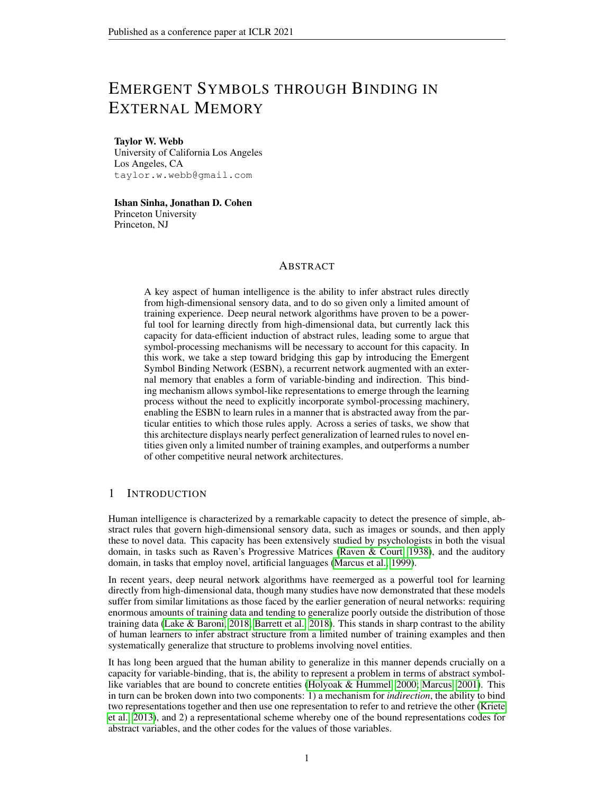## **ACKNOWLEDGMENTS**

We would like to thank Zachary Dulberg, Steven Frankland, Randall O'Reilly, Alexander Petrov, and Simon Segert for their helpful feedback and discussions.

#### **REFERENCES**

- Raquel G Alhama and Willem Zuidema. A review of computational models of basic rule learning: The neural-symbolic debate and beyond. *Psychonomic bulletin & review*, 26(4):1174–1194, 2019.
- Jimmy Ba, Geoffrey E Hinton, Volodymyr Mnih, Joel Z Leibo, and Catalin Ionescu. Using fast weights to attend to the recent past. In *Advances in Neural Information Processing Systems*, pp. 4331–4339, 2016a.
- Jimmy Lei Ba, Jamie Ryan Kiros, and Geoffrey E Hinton. Layer normalization. *arXiv preprint arXiv:1607.06450*, 2016b.
- David GT Barrett, Felix Hill, Adam Santoro, Ari S Morcos, and Timothy Lillicrap. Measuring abstract reasoning in neural networks. *arXiv preprint arXiv:1807.04225*, 2018.
- Andrew Beukers, Kenneth A Norman, and Jonathan D Cohen. Is activity silent working memory just episodic memory?, 2020.
- Patricia A Carpenter, Marcel A Just, and Peter Shell. What one intelligence test measures: a theoretical account of the processing in the raven progressive matrices test. *Psychological review*, 97 (3):404, 1990.
- Daniel M Cer and Randall C O'Reilly. Neural mechanisms of binding in the hippocampus and neocortex: insights from computational models., 2006.
- Catherine Chen, Qihong Lu, Andre Beukers, Christopher Baldassano, and Kenneth A Norman. Learning to perform role-filler binding with schematic knowledge. *arXiv preprint arXiv:1902.09006*, 2019.
- Joël Fagot, Edward A Wasserman, and Michael E Young. Discriminating the relation between relations: the role of entropy in abstract conceptualization by baboons (papio papio) and humans (homo sapiens). *Journal of Experimental Psychology: Animal Behavior Processes*, 27(4):316, 2001.
- Meire Fortunato, Melissa Tan, Ryan Faulkner, Steven Hansen, Adrià Puigdomènech Badia, Gavin Buttimore, Charles Deck, Joel Z Leibo, and Charles Blundell. Generalization of reinforcement learners with working and episodic memory. In *Advances in Neural Information Processing Systems*, pp. 12469–12478, 2019.
- Xavier Glorot and Yoshua Bengio. Understanding the difficulty of training deep feedforward neural networks. In *Proceedings of the thirteenth international conference on artificial intelligence and statistics*, pp. 249–256, 2010.
- Alex Graves, Greg Wayne, and Ivo Danihelka. Neural turing machines. *arXiv preprint arXiv:1410.5401*, 2014.
- Alex Graves, Greg Wayne, Malcolm Reynolds, Tim Harley, Ivo Danihelka, Agnieszka Grabska-Barwińska, Sergio Gómez Colmenarejo, Edward Grefenstette, Tiago Ramalho, John Agapiou, et al. Hybrid computing using a neural network with dynamic external memory. *Nature*, 538 (7626):471–476, 2016.
- Karol Gregor, Ivo Danihelka, Alex Graves, Danilo Jimenez Rezende, and Daan Wierstra. Draw: A recurrent neural network for image generation. *arXiv preprint arXiv:1502.04623*, 2015.
- Kaiming He, Xiangyu Zhang, Shaoqing Ren, and Jian Sun. Delving deep into rectifiers: Surpassing human-level performance on imagenet classification. In *Proceedings of the IEEE international conference on computer vision*, pp. 1026–1034, 2015.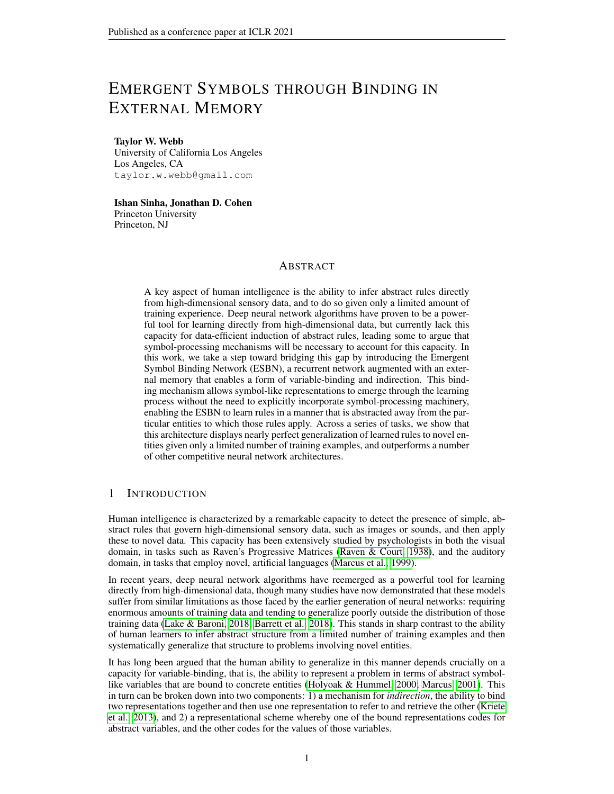- Felix Hill, Olivier Tieleman, Tamara von Glehn, Nathaniel Wong, Hamza Merzic, and Stephen Clark. Grounded language learning fast and slow. *arXiv preprint arXiv:2009.01719*, 2020.
- Sepp Hochreiter and Jürgen Schmidhuber. Long short-term memory. *Neural computation*, 9(8): 1735–1780, 1997.
- Keith J Holyoak and John E Hummel. The proper treatment of symbols in a connectionist architecture. *Cognitive dynamics: Conceptual change in humans and machines*, 229:263, 2000.
- John E Hummel and Keith J Holyoak. Distributed representations of structure: A theory of analogical access and mapping. *Psychological review*, 104(3):427, 1997.
- Marius Jahrens and Thomas Martinetz. Solving raven's progressive matrices with multi-layer relation networks. *arXiv preprint arXiv:2003.11608*, 2020.
- Junkyung Kim, Matthew Ricci, and Thomas Serre. Not-so-clevr: learning same–different relations strains feedforward neural networks. *Interface focus*, 8(4):20180011, 2018.
- Diederik P Kingma and Jimmy Ba. Adam: A method for stochastic optimization. *arXiv preprint arXiv:1412.6980*, 2014.
- Trenton Kriete, David C Noelle, Jonathan D Cohen, and Randall C O'Reilly. Indirection and symbol-like processing in the prefrontal cortex and basal ganglia. *Proceedings of the National Academy of Sciences*, 110(41):16390–16395, 2013.
- Brenden Lake and Marco Baroni. Generalization without systematicity: On the compositional skills of sequence-to-sequence recurrent networks. In *International Conference on Machine Learning*, pp. 2873–2882. PMLR, 2018.
- Francesco Locatello, Dirk Weissenborn, Thomas Unterthiner, Aravindh Mahendran, Georg Heigold, Jakob Uszkoreit, Alexey Dosovitskiy, and Thomas Kipf. Object-centric learning with slot attention. *arXiv preprint arXiv:2006.15055*, 2020.
- Jiayuan Mao, Chuang Gan, Pushmeet Kohli, Joshua B Tenenbaum, and Jiajun Wu. The neurosymbolic concept learner: Interpreting scenes, words, and sentences from natural supervision. *arXiv preprint arXiv:1904.12584*, 2019.
- Gary Marcus. The algebraic mind, 2001.
- Gary F Marcus, Sugumaran Vijayan, S Bandi Rao, and Peter M Vishton. Rule learning by sevenmonth-old infants. *Science*, 283(5398):77–80, 1999.
- James L McClelland, Bruce L McNaughton, and Randall C O'Reilly. Why there are complementary learning systems in the hippocampus and neocortex: insights from the successes and failures of connectionist models of learning and memory. *Psychological review*, 102(3):419, 1995.
- Tsendsuren Munkhdalai, Alessandro Sordoni, Tong Wang, and Adam Trischler. Metalearned neural memory. In *Advances in Neural Information Processing Systems*, pp. 13331–13342, 2019.
- Maxwell I Nye, Armando Solar-Lezama, Joshua B Tenenbaum, and Brenden M Lake. Learning compositional rules via neural program synthesis. *arXiv preprint arXiv:2003.05562*, 2020.
- David Premack. The codes of man and beasts. *Behavioral and Brain Sciences*, 6(1):125–136, 1983.
- Alexander Pritzel, Benigno Uria, Sriram Srinivasan, Adria Puigdomenech, Oriol Vinyals, Demis Hassabis, Daan Wierstra, and Charles Blundell. Neural episodic control. *arXiv preprint arXiv:1703.01988*, 2017.
- John C Raven and JH Court. *Raven's progressive matrices*. Western Psychological Services Los Angeles, CA, 1938.
- Jake Russin, Jason Jo, Randall C O'Reilly, and Yoshua Bengio. Compositional generalization in a deep seq2seq model by separating syntax and semantics. *arXiv preprint arXiv:1904.09708*, 2019.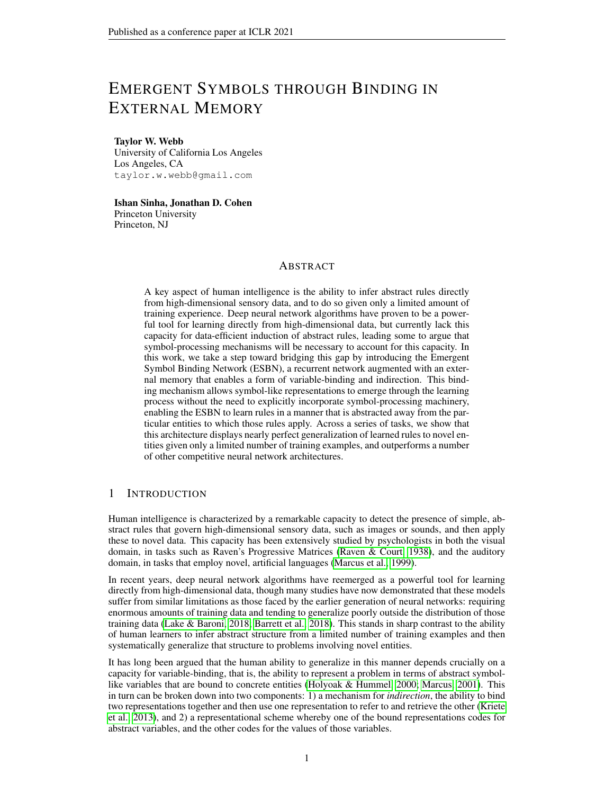- Adam Santoro, David Raposo, David G Barrett, Mateusz Malinowski, Razvan Pascanu, Peter Battaglia, and Timothy Lillicrap. A simple neural network module for relational reasoning. In *Advances in neural information processing systems*, pp. 4967–4976, 2017.
- David Saxton, Edward Grefenstette, Felix Hill, and Pushmeet Kohli. Analysing mathematical reasoning abilities of neural models. *arXiv preprint arXiv:1904.01557*, 2019.
- Murray Shanahan, Kyriacos Nikiforou, Antonia Creswell, Christos Kaplanis, David Barrett, and Marta Garnelo. An explicitly relational neural network architecture. *arXiv preprint arXiv:1905.10307*, 2019.
- Ishan Sinha, Taylor W Webb, and Jonathan D Cohen. A memory-augmented neural network model of abstract rule learning. *arXiv preprint arXiv:2012.07172*, 2020.
- Paul Smolensky. Tensor product variable binding and the representation of symbolic structures in connectionist systems. *Artificial intelligence*, 46(1-2):159–216, 1990.
- Richard E Snow, Patrick C Kyllonen, and Brachia Marshalek. The topography of ability and learning correlations. *Advances in the psychology of human intelligence*, 2(S 47):103, 1984.
- Ashish Vaswani, Noam Shazeer, Niki Parmar, Jakob Uszkoreit, Llion Jones, Aidan N Gomez, Łukasz Kaiser, and Illia Polosukhin. Attention is all you need. In *Advances in neural information processing systems*, pp. 5998–6008, 2017.
- Taylor W Webb, Zachary Dulberg, Steven M Frankland, Alexander A Petrov, Randall C O'Reilly, and Jonathan D Cohen. Learning representations that support extrapolation. *arXiv preprint arXiv:2007.05059*, 2020.
- James CR Whittington, Timothy H Muller, Shirley Mark, Guifen Chen, Caswell Barry, Neil Burgess, and Timothy EJ Behrens. The tolman-eichenbaum machine: Unifying space and relational memory through generalisation in the hippocampal formation. *BioRxiv*, pp. 770495, 2019.
- Yuhuai Wu, Honghua Dong, Roger Grosse, and Jimmy Ba. The scattering compositional learner: Discovering objects, attributes, relationships in analogical reasoning. *arXiv preprint arXiv:2007.04212*, 2020.
- Andrew P Yonelinas. Consciousness, control, and confidence: the 3 cs of recognition memory. *Journal of Experimental Psychology: General*, 130(3):361, 2001.
- Chi Zhang, Feng Gao, Baoxiong Jia, Yixin Zhu, and Song-Chun Zhu. Raven: A dataset for relational and analogical visual reasoning. In *Proceedings of the IEEE Conference on Computer Vision and Pattern Recognition*, pp. 5317–5327, 2019.
- Bolei Zhou, Alex Andonian, Aude Oliva, and Antonio Torralba. Temporal relational reasoning in videos. In *Proceedings of the European Conference on Computer Vision (ECCV)*, pp. 803–818, 2018.

## A APPENDIX

#### A.1 CODE AVAILABILITY

All code, including code for dataset generation, model implementation, training, and evaluation, is available on [GitHub.](https://github.com/taylorwwebb/emergent_symbols)

#### A.2 DATASET GENERATION

In this section, we provide details on the dataset generation process for all tasks. In all of our simulations, a dataset was generated from scratch (according to the procedures described below) at the beginning of each training run, such that different runs involved different datasets, though the statistics were the same across these datasets. We did this to prevent the possibility that our results would reflect biases present in a particular dataset.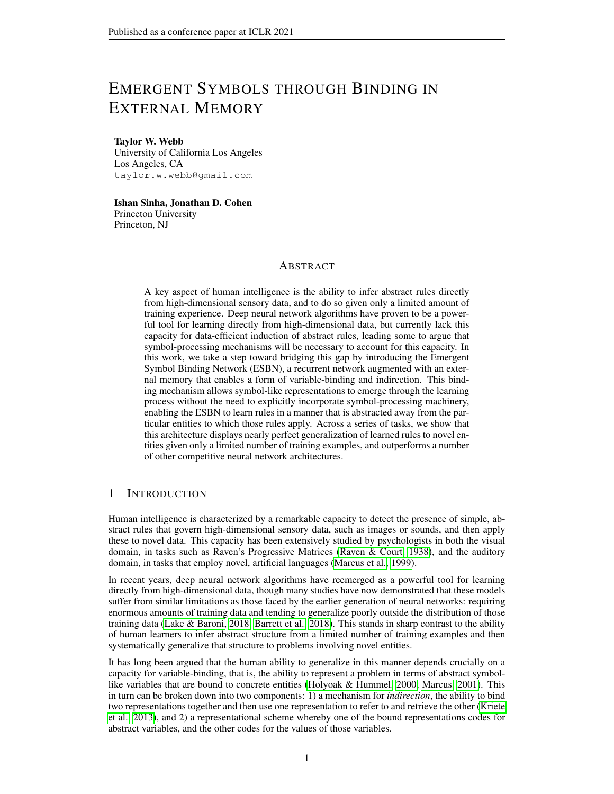Table 1: Training and test set sizes for the same/different discrimination task.

|                 |     |       |        | $m = 0$ $m = 50$ $m = 85$ $m = 95$ $m = 98$ |        |
|-----------------|-----|-------|--------|---------------------------------------------|--------|
| Training 18,810 | 990 | 4.900 | 420    | 40                                          | Δ      |
| Test            |     | 4.900 | 10,000 | 10,000                                      | 10,000 |

#### A.2.1 SAME/DIFFERENT DISCRIMINATION

Given  $n = 100$  total images, with  $m = 0$  withheld during training, there are  $n^2 = 10^4$  possible same/different problems. To prevent the potential for networks to be biased by the fact that the overwhelming majority of these are 'different' problems, we created balanced datasets by including duplicates of the 'same' problems. Specifically, we randomly sampled (with replacement)  $n(n \t1)$ of the *n* unique 'same' trials and combined them with the  $n(n \t1)$  unique 'different' trials, resulting in  $2n(n \t-1) = 19,800$  total problems. We reserved 990 of these problems for test, yielding training sets including 18, 810 problems (ensuring that duplicates of the same problem did not appear in both the training and test sets).

We followed a similar procedure for the other regimes, generating balanced datasets by duplicating the 'same' problems when necessary. These datasets incorporated either all of the problems that resulted from this procedure (given the  $n \mod m$  m images available for training, or the m images available for test), or 10, 000 problems, whichever was smaller. The exact size of each of these datasets is shown in Table 1.

A.2.2 RMTS

Table 2: Training and test set sizes for the RMTS task.

|          |        | $m = 0$ $m = 50$ $m = 85$ $m = 95$ |        |        |
|----------|--------|------------------------------------|--------|--------|
| Training | 10,000 | 10,000                             | 10,000 | 480    |
| Test     | 10,000 | 10,000                             | 10,000 | 10,000 |

For the RMTS task, we constructed balanced training and test sets ensuring that there were an equal number of problems with a 'same' vs. 'different' source pair. These datasets contained either 10, 000 problems, or the minimum number of problems possible in a given regime, whichever was smaller (Table 2). For most regimes, 10, 000 problems constitutes a tiny fraction of the full space of possible problems (ranging from 10<sup>9</sup> for the  $m = 0$  regime to 10<sup>5</sup> for the training set in the  $m = 85$  regime), and thus there was no need to duplicate problems to achieve balanced datasets. For the  $m = 95$ regime, there are only 480 possible training problems, which happen to include the same number of 'same' and 'different' trial types.

#### A.2.3 DISTRIBUTION-OF-THREE

Table 3: Training and test set sizes for the distribution-of-three task.

 $m = 0$   $m = 50$   $m = 85$   $m = 95$ Training 10,000 10,000 10,000 360

Test 10,000 10,000 10,000 10,000

For the distribution-of-three task, we generated problems by randomly selecting three of the available images in a given regime (either  $n \text{ } m$  images during training, or m images during test), and then randomly sampling two permutations of those images for the two rows (allowing the possibility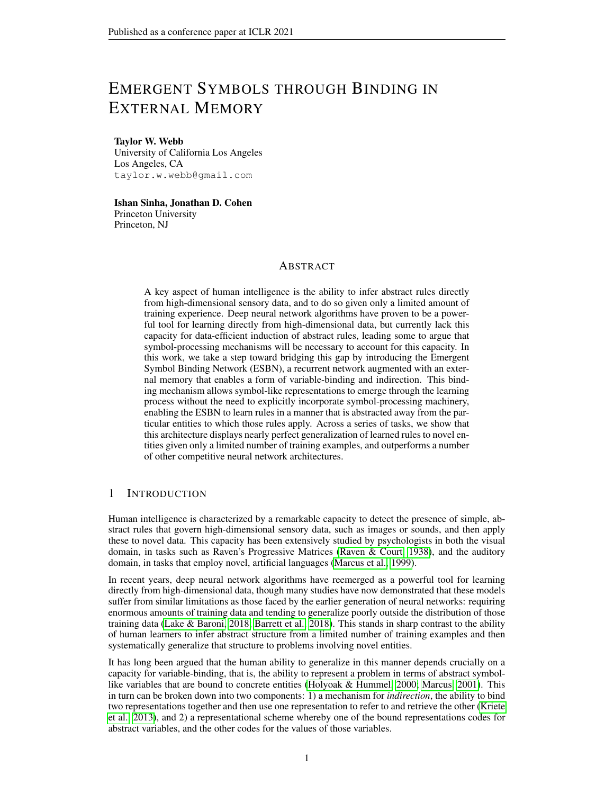that the same permutation appears in both rows) of the 2 3 matrix. We then randomly selected a fourth image to appear with the other three as possible answers, and randomly permuted these four answer choices. When taking into account the identity of this fourth image, and the permutation of the answer choices, the number of unique distribution-of-three problems in the  $m = 0$  regime is on the order of  $10^{10}$ .

For most regimes, we randomly created training and test sets consisting of 10, 000 randomly sampled problems. For the  $m = 95$  regime, the training set consisted of 360 problems (the total number of unique problems possible in this regime when not considering the identity and order of the answer choices, which were randomly selected).

## A.2.4 IDENTITY RULES

Table 4: Training and test set sizes for the identity rules task.

|          |        | $m = 0$ $m = 50$ $m = 85$ $m = 95$ |        |        |
|----------|--------|------------------------------------|--------|--------|
| Training | 10,000 | 10,000                             | 10.000 | 8,640  |
| Test     | 10.000 | 10,000                             | 10,000 | 10,000 |

For the identity rules task, we constructed datasets with an approximately balanced (through uniform random sampling) number of ABA, ABB, and AAA problems. These datasets consisted of either 10, 000 problems, or the minimum number of possible problems in a given regime, whichever was smaller (Table 4). For the training set in the  $m = 95$  regime, datasets consisting of 8,640 problems were constructed from the 7, 200 possible unique problems in this regime, by duplicating the AAA problems to match the number of ABA/ABB problems. For all other datasets, 10, 000 problems constituted a small fraction of the total number of possible problems (ranging from  $10^9$  for the  $m = 0$  regime to 10<sup>6</sup> for the training set in the  $m = 85$  regime), and no duplication was necessary to achieve balanced problem types.

## A.3 IMPLEMENTATION DETAILS FOR ALL MODELS

#### A.3.1 ENCODER

We used the same feedforward encoder architecture to process each of the images in a sequence  $x_{t=1} \ldots x_{t=T}$ , generating low-dimensional embeddings  $z_{t=1} \ldots z_{t=T}$  that were then passed to the core sequential component of each model (either the ESBN or one of the alternative architectures)<sup>5</sup>. This encoder consisted of three convolutional layers, each with 32 channels, a 4 4 kernel, and a stride of 2, followed by two fully-connected layers with 256 units and 128 units respectively. All layers used ReLU nonlinearities. All weights were initialized using a Kaiming normal distribution (He et al., 2015), and all biases were initialized to 0.

#### A.3.2 TASK OUTPUT LAYER

All models had an output layer for generating  $\hat{y}$ . The number of units and the nonlinearity depended on the task. For the same/different and RMTS tasks, the output layer had 1 unit and a sigmoid nonlinearity (producing a number between 0 and 1 to code for 'same' vs. 'different', or pair 1 vs. pair 2). For the distribution-of-three and identity rules tasks, the output layer had 4 units and a softmax nonlinearity (to select 1 of the 4 answer choices). The weights of the output layer were initialized using an Xavier normal distribution (Glorot & Bengio, 2010), and the biases were initialized to 0.

#### A.3.3 ESBN

The details of the ESBN's operations are given in Algorithm 1. The LSTM controller had 1 layer with 512 units, and employed the standard tanh nonlinearities and sigmoidal gates. The controller

 $5$ The encoder architecture was the same for all models, but the parameters of the encoder were learned end-to-end from scratch on each training run.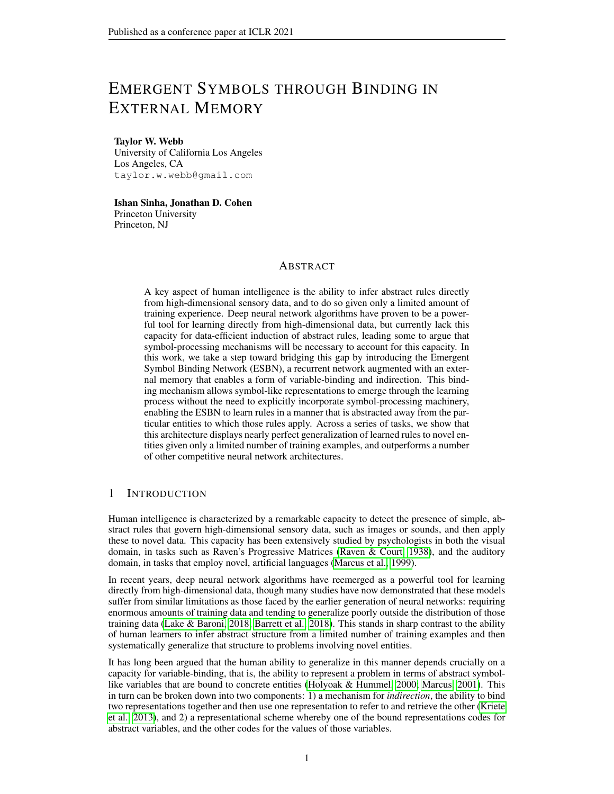also had output layers for  $k_w$  (256 units with a ReLU nonlinearity), g (1 unit with a sigmoid nonlinearity), and  $\hat{y}$ . The input to the controller at each time step was  $k_r$ , the key retrieved from memory at the previous time step (along with the associated confidence value,  $c_k$ ). At the beginning of each sequence,  $k_r$  and the controller's hidden state  $h$  were initialized to 0.

After processing a full sequence, the ESBN was allowed an additional time step for the controller to process the retrieved key associated with the final input. After this additional time step, the final hidden state of the LSTM was passed through the task output layer to generate the prediction  $\hat{y}$ . We note that it is also possible to retrieve values from memory (from  $M_v$ ) using a similar procedure and then decode these values to make predictions in image space (Sinha et al., 2020), but in the present work we focus only on the classification component of the model.

The input weights for the LSTM controller were initialized using an Xavier normal distribution with a gain value of 5/3. The weights for the LSTM's gates, as well as the weights for the output layer for the gate g, were initialized with an Xavier normal distribution (with a gain of 1). The weights for the output layer that produced  $k_w$  were initialized using a Kaiming normal distribution. All biases were initialized to 0. The parameters  $\gamma$  and  $\beta$  were initialized to 1 and 0 respectively.

## A.3.4 LSTM

The LSTM architecture had 1 layer with 512 units. Image embeddings were passed to the LSTM as a sequence, after which  $\hat{y}$  was generated through a task output layer. The LSTM's hidden state was initialized to 0 at the beginning of each sequence. The LSTM's weights were initialized using the same scheme as the LSTM controller in the ESBN (using an Xavier normal distribution, with a gain of 5/3 for the input weights and 1 for the gates), and biases were initialized to 0.

## A.3.5 NTM

The NTM had an LSTM controller (1 layer with 512 units). The LSTM's hidden state was initialized to 0 at the beginning of each sequence, and the LSTM's parameters were initialized in the same way as the LSTM architecture and the controller for the ESBN. The NTM had one write head and one read head. The read head had the following output layers:

- 1. read key: 256 units, tanh nonlinearity, weights initialized using an Xavier normal distribution with a gain of 5/3.
- 2. key strength: 1 unit, softplus nonlinearity, weights initialized using a Kaiming normal distribution.
- 3. interpolation gate: 1 unit, sigmoid nonlinearity, weights initialized using an Xavier normal distribution with a gain of 1.
- 4. shift weights: 3 units (corresponding to the allowable shifts 1, 0, and 1), softmax nonlinearity, weights initialized using an Xavier normal distribution with a gain of 1.

The write head had the following output layers:

- 1. erase vector: 256 units, sigmoid nonlinearity, weights initialized using an Xavier normal distribution with a gain of 1.
- 2. add vector: 256 units, tanh nonlinearity, weights initialized using an Xavier normal distribution with a gain of 5/3.
- 3. write key: 256 units, tanh nonlinearity, weights initialized using an Xavier normal distribution with a gain of 5/3.
- 4. key strength: 1 unit, softplus nonlinearity, weights initialized using a Kaiming normal distribution.
- 5. interpolation gate: 1 unit, sigmoid nonlinearity, weights initialized using an Xavier normal distribution with a gain of 1.
- 6. shift weights: 3 units (corresponding to the allowable shifts 1, 0, and 1), softmax nonlinearity, weights initialized using an Xavier normal distribution with a gain of 1.

All biases for these output layers were initialized to 0. The NTM used these outputs to interact with its external memory, employing all of the location- and content-based mechanisms described in the original work (Graves et al., 2014). Cosine similarity was used as a similarity measure for the content-based mechanisms. The memory matrix had 10 rows of size 256. The initial state of the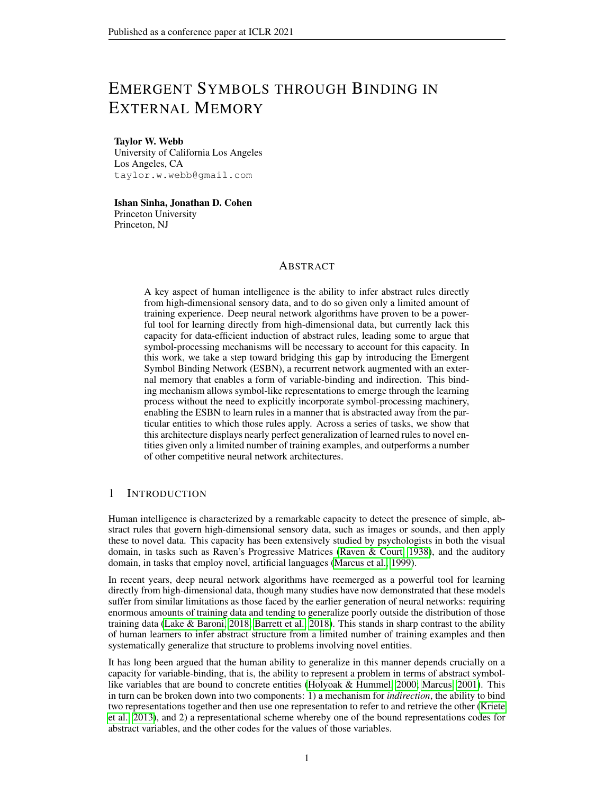memory at the beginning of each sequence was learned. The learned initial state was initialized (at the beginning of training) using an Xavier normal distribution.

The input to the LSTM controller at each time step consisted of the image embedding corresponding to that time step and the read vector from the previous time step. At the beginning of each sequence, the read vector, read weights, and write weights were initialized to 0. Just as with the ESBN, the NTM was allowed an additional time step to process the read vector retrieved from memory after observing the final image embedding, after which  $\hat{y}$  was generated through an output layer from the LSTM controller.

## A.3.6 MNM

We implemented the MNM using publicly available [code](https://bitbucket.org/tsendeemts/mnm/src/master/) released with the original publication (Munkhdalai et al., 2019). Specifically, we used the version of MNM that employs a learned local update ('MNM-p' in the original paper). Before passing the images in our tasks to the MNM model, we applied the same encoder and TCN procedure used for the other architectures that we tested. Other than this modification, the original implementation, including all architectural hyperparameters, was unmodified.

## A.3.7 RN

The RN implementation consisted of two MLPs. The first MLP (used to process all pair-wise combinations of image embeddings) had a hidden layer of size 512 and an output layer of size 256. The outputs from the first MLP were summed, and then passed to the second MLP, which had a hidden layer of size 256 and an output layer for generating  $\hat{y}$ . All layers (except the output layer) used ReLU nonlinearities. All weights were initialized using a Kaiming normal distribution (except the output layer, which was initialized according to the description in A.3.2), and all biases were initialized to 0. Before passing the image embeddings to the first MLP, they were appended with a tag (an integer from 0 to  $T-1$ ) indicating their position in the input sequence.

## A.3.8 TRN

The TRN employs two key design decisions intended to prevent the combinatorial explosion that would naturally result from the inclusion of n-ary relations:

- 1. Only considering temporally ordered, non-redundant sets (whereas the original RN considers all possible pairs of objects, including both permutations of the same pair, and the pair of each object with itself).
- 2. Subsampling from these sets.

We found that it was computationally feasible to implement a TRN with ternary relations in our tasks by only using (1), without the need to subsample. Thus, our implementation considers all temporally ordered, non-redundant sets of two and three.

Each pair of image embeddings was processed by an MLP with a hidden layer of size 512 and an output layer of size 256. The outputs of this MLP for all pairs were then summed, and processed by an additional fully-connected layer with 256 units, yielding a single vector representing all pairs.

Each set of three image embeddings was processed by a separate MLP with the same hyperparameters (hidden layer of 512 units, output layer of 256 units). The outputs of this MLP for all sets of three were then summed, and processed by a separate fully-connected layer with 256 units, yielding a single vector representing all sets of three.

These two vectors, representing all pairs and sets of three, were then summed and passed to an additional fully-connected layer with  $256$  units, and then to the output layer to generate  $\hat{y}$ . All layers (except for the output layer) used ReLU nonlinearities. All weights in these layers were initialized using a Kaiming normal distribution, and all biases were initialized to 0.

Just as with the RN, we append the image embeddings with a tag indicating their position in the sequence before passing them to the first MLP in the TRN.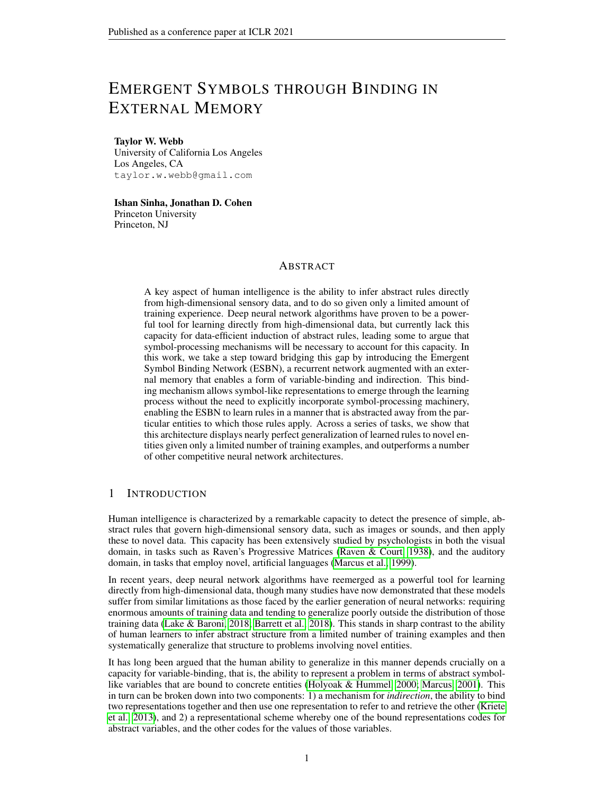## A.3.9 TRANSFORMER

The Transformer implementation consisted of a single Transformer encoder layer. We also experimented with 2- and 3-layer Transformers but these did not generalize as well as the 1-layer Transformer in the tasks that we studied. Positional encoding (as described by Vaswani et al. (2017)) was applied to the sequence of image embeddings, which were then passed to the Transformer layer. The self-attention layer had 8 heads. The MLP had a single hidden layer with 512 units, and used ReLU nonlinearities. Residual connections and layer normalization (Ba et al., 2016b) were used following both the self-attention layer and the MLP. The self-attention weights (for generating the keys, queries, and values) were initialized using an Xavier normal distribution. The MLP weights were initialized using a Kaiming normal distribution.

After applying the Transformer layer, the (transformed) embeddings were averaged and passed to an output MLP. The output MLP had a single hidden layer with 256 units, and an output layer for generating  $\hat{y}$ . The hidden layer used ReLU nonlinearities, and the weights were initialized using a Kaiming normal distribution. All biases were initialized to 0.

## A.3.10 PREDINET

The PrediNet implementation was as close as possible to the model described in the original work (Shanahan et al., 2019), except that the multi-head attention was applied over the 1D temporal sequence of image embeddings, rather than over a 2D feature map (since there was no spatial component to the tasks that we studied). Before being passed to the PrediNet module, the image embeddings were appended with a tag (an integer from 0 to  $T$  1) indicating their temporal position. The PrediNet module used keys of size 16, 32 heads, and 16 relations. All weights in the PrediNet module were initialized using an Xavier normal distribution.

The output of all PrediNet heads was concatenated and passed to an output MLP. This MLP had a single hidden layer with 8 units, and an output layer for generating  $\hat{y}$ . The hidden layer used ReLU nonlinearities, and the weights were initialized using a Kaiming normal distribution. All biases were initialized to 0.

# A.4 TRAINING DETAILS

|             |                 |                 | Same/different RMTS Distribution-of-three | Identity rules  |
|-------------|-----------------|-----------------|-------------------------------------------|-----------------|
| <b>ESBN</b> | 5e 5            | 5e <sub>5</sub> | $5e\,5$                                   | 5e <sub>5</sub> |
| Transformer | 5e <sub>4</sub> | 5e <sub>4</sub> | 5e <sub>4</sub>                           | 5e <sub>4</sub> |
| NTM         | 5e <sub>4</sub> | 5e <sub>4</sub> | $5e$ 4                                    | 5e <sub>4</sub> |
| MNM         | 5e <sub>4</sub> | $5e$ 4          | 5e <sub>4</sub>                           | 5e <sub>4</sub> |
| LSTM        | 5e <sub>4</sub> | 5e <sub>4</sub> | 5e <sub>4</sub>                           | 5e <sub>4</sub> |
| PrediNet    | 5 $e$ 4         | 5e <sub>4</sub> | 5e <sub>5</sub>                           | 5e <sub>5</sub> |
| RN          | 5e 4            | 5e <sub>5</sub> | 5e <sub>4</sub>                           | 5e <sub>4</sub> |

Table 5: Learning rates for all models trained without TCN.

All models were trained with a batch size of 32 using the ADAM optimizer (Kingma & Ba, 2014). The learning rate for all models trained with TCN was  $5e$  4. Some of the models failed to converge when trained without TCN, requiring a smaller learning rate of  $5e$  5. The learning rates used for all models when trained without TCN are shown in Table 5.

Because different generalization regimes (different values for  $m$ ) involved different training set sizes, and therefore involved fewer training updates per epoch, the number of training epochs required to reliably achieve convergence varied based on the regime. The default number of training epochs for all tasks and regimes is shown in Table 6.

Some models required additional training on some tasks to reach convergence. The PrediNet and the RN required longer training on the distribution-of-three task (Table 7), and the PrediNet, RN, and Transformer required longer training on the identity rules task (Table 8).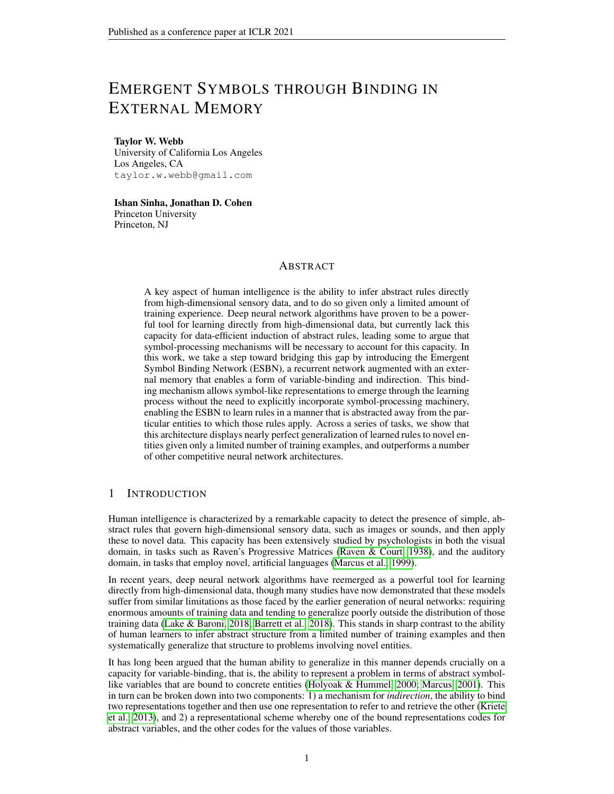|                       |    | $m = 0$ $m = 50$ $m = 85$ $m = 95$ $m = 98$ |    |     |     |
|-----------------------|----|---------------------------------------------|----|-----|-----|
| Same/different        | 50 | 50                                          | 50 | 100 | 100 |
| <b>RMTS</b>           | 50 | 50                                          | 50 | 200 |     |
| Distribution-of-three | 50 | 50                                          | 50 | 150 |     |
| Identity rules        | 50 | 50                                          | 50 | 50  |     |
|                       |    |                                             |    |     |     |

Table 6: Default number of training epochs for all tasks and regimes.

Table 7: Number of training epochs for the PrediNet and RN on the distribution-of-three task.

 $m = 0$   $m = 50$   $m = 85$   $m = 95$ 

| PrediNet | 100 | 100 | 100 | 150 |
|----------|-----|-----|-----|-----|
| RN       | 150 | 150 | 150 | 800 |

Table 8: Number of training epochs for the PrediNet, RN, and Transformer on the identity rules task.

|     | $m = 0$ $m = 50$ $m = 85$ $m = 95$ |     |     |
|-----|------------------------------------|-----|-----|
| 100 | 100                                | 100 | 150 |

When training the RN on larger datasets for the distribution-of-three and identity rules tasks, the same learning rate and number of training epochs as used when training on smaller datasets was sufficient to reach convergence.

#### A.5 SUPPLEMENTARY RESULTS

#### A.5.1 RESULTS WITH AND WITHOUT TCN

Tables 9 - 12 show the results for all models trained both with and without TCN. With the exception of the PrediNet on the same/different task, every model benefited on every task from the incorporation of TCN, in many cases substantially. Results for models trained with TCN (indicated by '+ TCN') correspond to the results presented in Figure 3 (except for the results of the PrediNet on the same/different task, for which the version of the model trained without TCN is plotted in Figure 3).

We note that, even with a lower learning rate of 5e 5, some models failed to converge without TCN, such as the ESBN on the same/different task, or the RN on the RMTS task. It is possible that some of these models might have performed better if we had optimized them further by training for longer or trying different learning rates, but we opted not to do that since TCN was so effective across all of the models and tasks that we studied.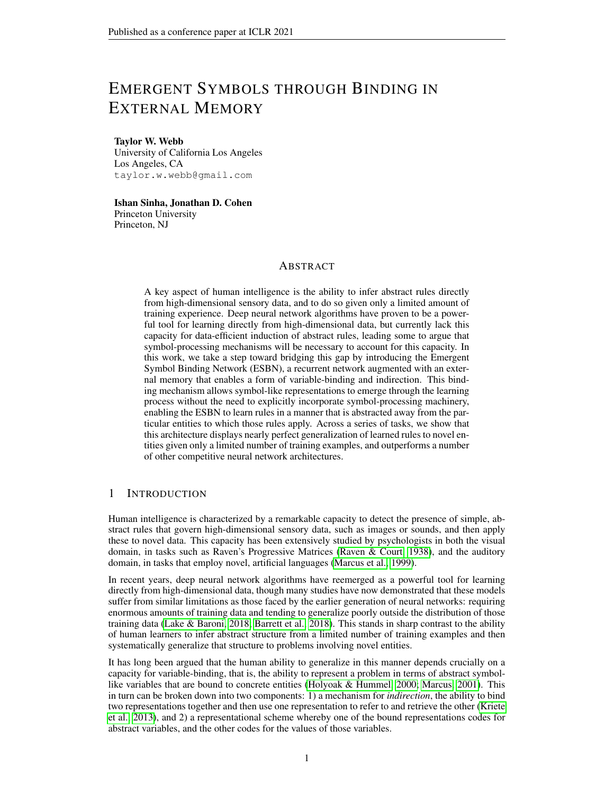|                    | $m=0$ |      | $m = 50$ |      | $m = 85$ |     | $m = 95$ |      | $m = 98$ |     |
|--------------------|-------|------|----------|------|----------|-----|----------|------|----------|-----|
|                    |       |      |          |      |          |     |          |      |          |     |
| $ESBN + TCN$       | 100.0 | 0.0  | 100.0    | 0.0  | 100.0    | 0.0 | 100.0    | 0.0  | 100.0    | 0.0 |
| <b>ESBN</b>        | 50.0  | 0.02 | 50.0     | 0.0  | 50.1     | 0.1 | 49.8     | 0.2  | 50.1     | 0.1 |
| Transformer + TCN  | 100.0 | 0.0  | 100.0    | 0.0  | 100.0    | 0.0 | 100.0    | 0.0  | 72.3     | 5.2 |
| <b>Transformer</b> | 100.0 | 0.0  | 99.9     | 0.02 | 95.4     | 0.6 | 73.7     | 1.8  | 56.1     | 1.3 |
| $NTM + TCN$        | 100.0 | 0.0  | 99.99    | 0.0  | 94.9     | 0.6 | 66.7     | 2.5  | 53.3     | 1.4 |
| <b>NTM</b>         | 99.0  | 0.9  | 98.6     | 0.3  | 84.9     | 2.4 | 57.0     | 2.2  | 52.5     | 0.9 |
| $MNM + TCN$        | 100.0 | 0.0  | 99.95    | 0.03 | 97.8     | 0.4 | 72.0     | 2.4  | 52.3     | 0.5 |
| <b>MNM</b>         | 98.9  | 0.1  | 95.1     | 1.8  | 88.6     | 1.1 | 59.1     | 1.6  | 51.7     | 0.7 |
| $LSTM + TCN$       | 100.0 | 0.0  | 99.97    | 0.01 | 96.9     | 0.3 | 69.4     | 1.5  | 54.8     | 1.1 |
| <b>LSTM</b>        | 88.2  | 3.2  | 97.0     | 0.5  | 85.5     | 2.4 | 61.8     | 1.7  | 56.5     | 1.6 |
| PrediNet + TCN     | 100.0 | 0.0  | 99.7     | 0.1  | 96.0     | 1.3 | 67.2     | 2.9  | 61.6     | 2.3 |
| PrediNet           | 100.0 | 0.0  | 99.9     | 0.03 | 97.0     | 0.4 | 90.0     | 1.6  | 68.5     | 2.8 |
| $RN + TCN$         | 100.0 | 0.0  | 100.0    | 0.0  | 100.0    | 0.0 | 99.9     | 0.04 | 66.8     | 6.6 |
| <b>RN</b>          | 99.98 | 0.02 | 98.5     | 0.4  | 53.2     | 1.4 | 50.5     | 0.2  | 52.3     | 0.7 |

Table 9: Results for same/different task. Results reflect test accuracy averaged over 10 trained networks ( the standard error of the mean).

Table 10: Results for relational match-to-sample task. Results reflect test accuracy averaged over 10 trained networks ( the standard error of the mean).

|                | $m=0$ |     |       | $m = 50$ |       | $m = 85$ |      | $m = 95$ |
|----------------|-------|-----|-------|----------|-------|----------|------|----------|
|                |       |     |       |          |       |          |      |          |
| $ESBN + TCN$   | 100.0 | 0.0 | 100.0 | 0.0      | 100.0 | 0.0      | 95.0 | 0.7      |
| <b>ESBN</b>    | 86.4  | 6.1 | 69.4  | 6.5      | 50.0  | 0.1      | 51.0 | 0.5      |
| Transformer    | 100.0 | 0.0 | 99.98 | 0.01     | 99.1  | 0.4      | 79.8 | 2.5      |
| Transformer    | 99.4  | 0.1 | 96.8  | 0.7      | 86.4  | 1.9      | 49.9 | 0.2      |
| $NTM + TCN$    | 100.0 | 0.0 | 99.97 | 0.01     | 96.8  | 0.5      | 80.1 | 2.3      |
| <b>NTM</b>     | 99.5  | 0.1 | 92.5  | 4.7      | 81.2  | 1.5      | 50.1 | 0.2      |
| $MNM + TCN$    | 99.99 | 0.0 | 99.9  | 0.03     | 98.7  | 0.3      | 50.0 | 0.2      |
| <b>MNM</b>     | 74.6  | 7.6 | 63.6  | 5.7      | 78.3  | 3.7      | 50.0 | 0.2      |
| $LSTM + TCN$   | 99.99 | 0.0 | 99.8  | 0.03     | 94.9  | 1.3      | 60.7 | 3.7      |
| <b>LSTM</b>    | 99.1  | 0.3 | 90.2  | 2.0      | 80.9  | 1.1      | 50.2 | 0.1      |
| PrediNet + TCN | 99.7  | 0.1 | 99.6  | 0.1      | 94.6  | 2.2      | 68.4 | 2.7      |
| PrediNet       | 54.9  | 4.7 | 50.1  | 0.2      | 65.9  | 3.7      | 49.7 | 0.2      |
| $RN + TCN$     | 100.0 | 0.0 | 99.99 | 0.0      | 99.5  | 0.3      | 79.6 | 2.1      |
| <b>RN</b>      | 50.1  | 0.2 | 49.9  | 0.2      | 50.2  | 0.2      | 50.0 | 0.1      |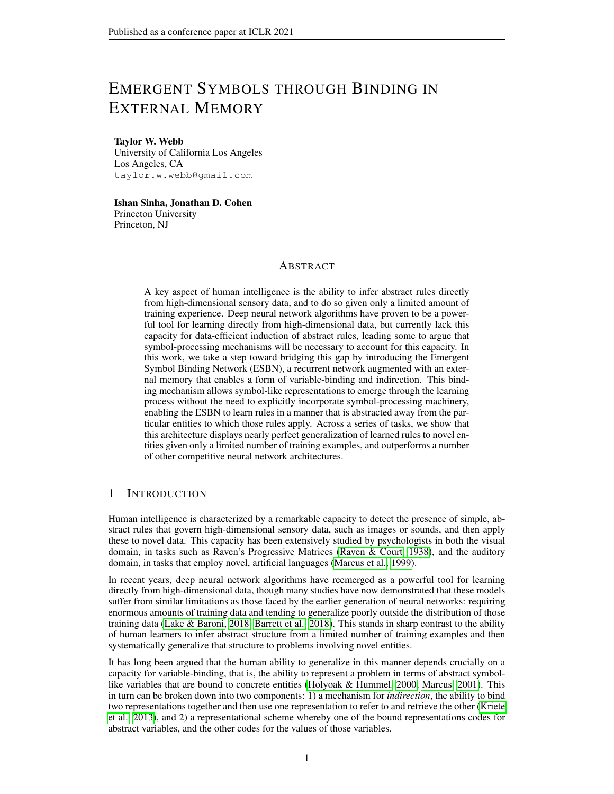|                             | $m=0$         |            | $m = 50$     |            | $m = 85$ |            | $m = 95$     |            |
|-----------------------------|---------------|------------|--------------|------------|----------|------------|--------------|------------|
|                             |               |            |              |            | 99.5     |            |              |            |
| $ESBN + TCN$<br><b>ESBN</b> | 98.7<br>99.98 | 0.4<br>0.0 | 99.0<br>97.4 | 0.3<br>0.2 | 92.4     | 0.2<br>1.1 | 99.7<br>62.0 | 0.1<br>4.0 |
| Transformer + TCN           | 88.7          | 2.6        | 95.0         | 1.2        | 92.7     | 1.5        | 32.1         | 1.0        |
| Transformer                 | 62.1          | 3.3        | 68.6         | 3.6        | 72.6     | 4.4        | 28.0         | 0.8        |
| $NTM + TCN$                 | 95.5          | 0.4        | 95.2         | 0.4        | 94.3     | 0.8        | 34.0         | 0.5        |
| <b>NTM</b>                  | 92.9          | 0.5        | 87.1         | 1.4        | 78.2     | 1.4        | 26.7         | 0.3        |
| $MNM + TCN$                 | 94.7          | 0.3        | 93.6         | 0.4        | 90.6     | 0.7        | 32.2         | 0.6        |
| <b>MNM</b>                  | 58.5          | 8.9        | 68.7         | 6.2        | 48.4     | 5.5        | 25.6         | 0.3        |
| $LSTM + TCN$                | 96.0          | 0.6        | 94.8         | 0.5        | 92.9     | 0.8        | 34.8         | 0.8        |
| <b>LSTM</b>                 | 91.3          | 0.6        | 85.3         | 1.5        | 71.6     | 4.3        | 27.5         | 0.3        |
| PrediNet + TCN              | 95.2          | 0.3        | 94.6         | 0.4        | 93.3     | 0.9        | 27.8         | 0.5        |
| PrediNet                    | 75.1          | 3.0        | 65.7         | 7.4        | 78.0     | 6.0        | 25.7         | 0.1        |
| $RN + TCN$                  | 35.6          | 3.0        | 50.6         | 7.6        | 72.2     | 6.8        | 26.5         | 0.3        |
| <b>RN</b>                   | 25.1          | 0.1        | 24.9         | 0.1        | 25.7     | 0.3        | 25.2         | 0.1        |

Table 11: Results for distribution-of-three task. Results reflect test accuracy averaged over 10 trained networks ( the standard error of the mean).

Table 12: Results for identity rules task. Results reflect test accuracy averaged over 10 trained networks ( the standard error of the mean).

|                   | $m=0$ |      |      | $m = 50$ |      | $m = 85$ |      | $m = 95$ |
|-------------------|-------|------|------|----------|------|----------|------|----------|
|                   |       |      |      |          |      |          |      |          |
| $ESBN + TCN$      | 99.6  | 0.2  | 99.6 | 0.1      | 99.9 | 0.04     | 99.2 | 0.4      |
| <b>ESBN</b>       | 100.0 | 0.0  | 99.4 | 0.1      | 97.8 | 0.2      | 95.2 | 0.4      |
| Transformer + TCN | 98.3  | 0.7  | 97.1 | 1.0      | 92.0 | 1.7      | 67.1 | 2.4      |
| Transformer       | 75.5  | 4.1  | 71.6 | 5.1      | 85.4 | 4.6      | 38.6 | 2.2      |
| $NTM + TCN$       | 98.2  | 0.6  | 97.8 | 0.5      | 93.9 | 0.6      | 64.9 | 1.2      |
| <b>NTM</b>        | 94.6  | 0.3  | 90.1 | 0.8      | 82.2 | 1.2      | 25.0 | 0.1      |
| $MNM + TCN$       | 95.2  | 0.4  | 93.8 | 0.4      | 90.8 | 0.5      | 61.5 | 1.5      |
| <b>MNM</b>        | 70.9  | 10.2 | 69.5 | 9.7      | 49.8 | 8.4      | 24.9 | 0.2      |
| $LSTM + TCN$      | 98.9  | 0.1  | 97.7 | 0.3      | 92.1 | 0.7      | 62.5 | 1.1      |
| <b>LSTM</b>       | 93.8  | 0.5  | 89.3 | 0.6      | 73.7 | 5.7      | 24.8 | 0.1      |
| PrediNet + TCN    | 93.0  | 0.8  | 92.8 | 0.7      | 89.8 | 0.8      | 59.9 | 2.6      |
| PrediNet          | 40.8  | 0.4  | 40.5 | 1.9      | 40.3 | 2.2      | 32.2 | 0.6      |
| $RN + TCN$        | 41.5  | 6.7  | 40.2 | 1.0      | 48.7 | 2.0      | 41.4 | 2.0      |
| <b>RN</b>         | 41.1  | 7.2  | 37.3 | 3.4      | 31.6 | 2.8      | 25.4 | 0.4      |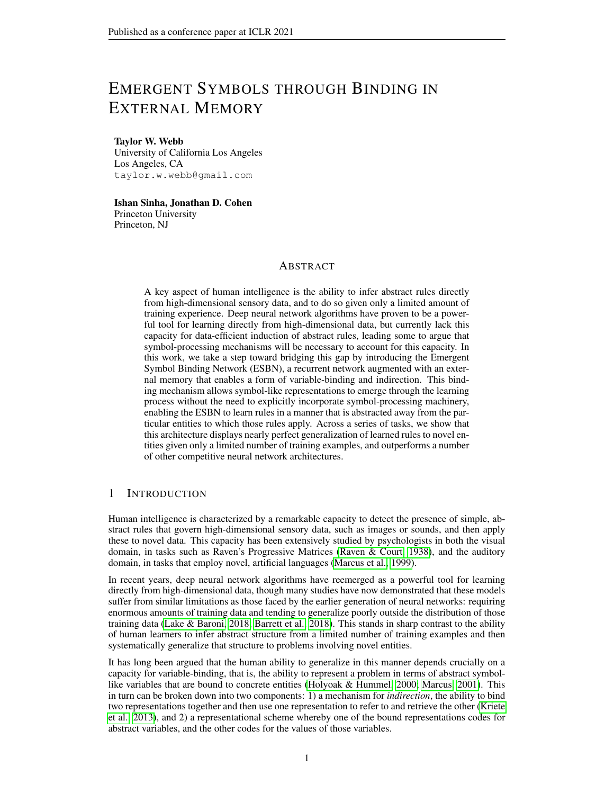#### A.5.2 PERFORMANCE OF RN ON TERNARY RELATIONS

Table 13 shows the results for the RN (w/ TCN) on the distribution-of-three and identity rules tasks when trained on larger training sets  $(10^5$  instead of  $10^4$  training examples). These results show that with more training data, the RN, which is biased toward processing pair-wise relations, is able to learn these tasks (which are based on ternary relations) in a manner that enables some degree of generalization. Note that these results do not include the  $m = 95$  regime, because there are not enough images in that regime to create larger training sets than were originally used.

Table 13: Results for the RN on the distribution-of-three and identity rules tasks when trained on a larger training set. Results reflect test accuracy averaged over 10 trained networks ( the standard error of the mean).

|                                                                     | $m = 50$ $m = 85$<br>$m=0$ |                            |  |  |  |
|---------------------------------------------------------------------|----------------------------|----------------------------|--|--|--|
| Distribution-of-three 84.5 10.0 84.6 9.9 72.4 9.7<br>Identity rules |                            | 89.2 5.0 99.7 0.1 86.6 4.1 |  |  |  |

We also tested the TRN, which incorporates ternary relations through subsampling, on these tasks (with the standard training set size of  $10<sup>4</sup>$  training examples). Table 14 shows the results. This yielded a slight improvement over the RN (when trained on  $10<sup>4</sup>$  training examples), though not as much of an improvement as resulted from training the RN with a larger training set. This result may seem surprising given that the TRN explicitly incorporates ternary relations. We note two possible explanations for this result:

- 1. The systematic comparison of every pair of objects, including permutations and comparisons of each object with itself, allows the RN to take advantage of a very powerful form of data augmentation, enforcing a certain degree of systematicity in the relations that it learns. By only considering temporally ordered and non-redundant sets, the TRN is not able to take advantage of this to the same extent, and therefore might not learn relations that generalize as well.
- 2. The distribution-of-three and identity rules tasks both involve not only ternary sets, but the higher-order comparison of multiple pairs of ternary sets (the first row vs. the combination of the second row with each candidate answer). One could presumably engineer a solution to this problem within the RN framework, but we take it as a strength of the ESBN that no such special engineering is necessary in this case.

Table 14: Results for the TRN on the distribution-of-three and identity rules tasks. Results reflect test accuracy averaged over 10 trained networks ( the standard error of the mean).

|                                                                             | $m = 0$ |                                 |  | $m = 50$ $m = 85$ $m = 95$ |  |  |  |
|-----------------------------------------------------------------------------|---------|---------------------------------|--|----------------------------|--|--|--|
| Distribution-of-three 60.2 5.4 77.5 5.7 88.7 0.8 27.8 0.5<br>Identity rules |         | 40.3 2.0 43.6 2.0 52.8 2.7 44.9 |  |                            |  |  |  |

## A.5.3 TRAINING TIME COURSES FOR SAME/DIFFERENT TASK

Figure 5 shows the training time courses for all models on the same/different task. Unlike the other three tasks we studied (for which training time courses are shown in Figure 4), all models were able to learn this task within a few hundred training updates (though all models except the ESBN failed to generalize in the most extreme regime).

#### A.5.4 ALTERNATIVE ENCODER ARCHITECTURES

In order to determine whether the systematic generalization exhibited by the ESBN depended to some extent on the convolutional layers in its encoder, we performed experiments with two alternative encoder architectures: a multilayer perceptron (MLP) encoder, and a random projection.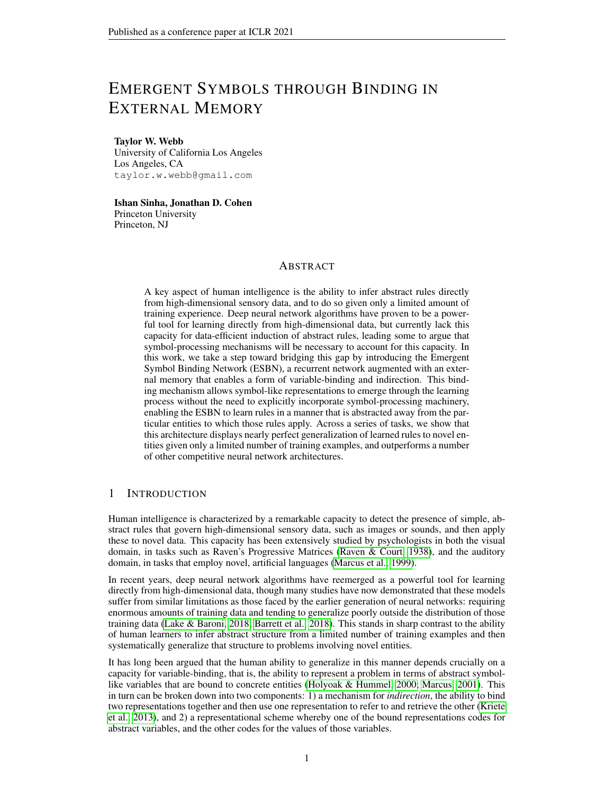

Figure 5: Training accuracy time courses on  $m = 0$  regime of the same/different task. Each time course reflects an average over 10 trained networks. Error bars reflect the standard error of the mean.



Figure 6: Results for all four tasks with convolutional (conv), multilayer perceptron (MLP), or random (rand) encoders. Results reflect test accuracy averaged over 10 trained networks ( the standard error of the mean).

The MLP encoder consisted of 3 fully-connected layers, with 512, 256, and 128 units, each of which used ReLU nonlinearities. All weights were initialized using a Kaiming normal distribution, and all biases were set to 0.

The random projection encoder involved only a single, untrained, fully-connected layer that projected from the flattened image to 128 units, followed by a ReLU nonlinearity. Weights were sampled from a Kaiming normal distribution, and biases were set to 0.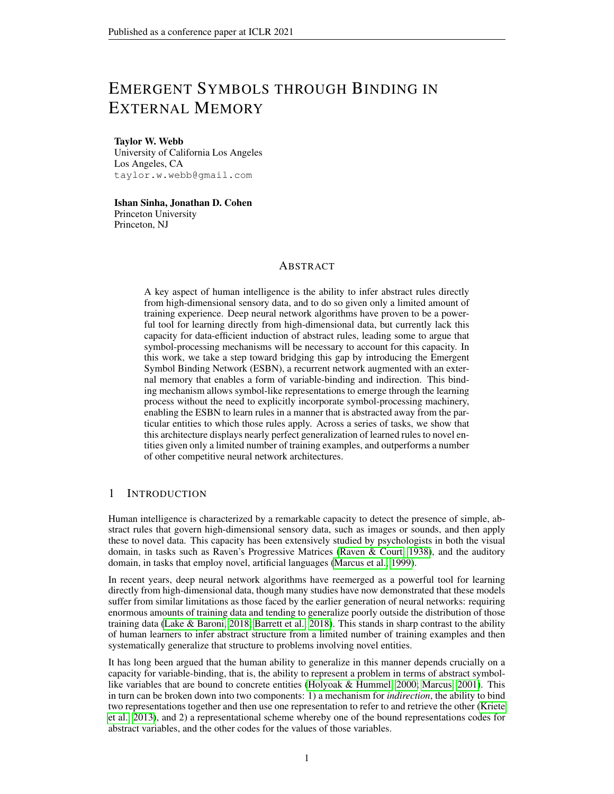Figure 6 and Tables 15 - 18 show the results for these experiments, along with the original version of the model (with a convolutional encoder) for comparison. To enable a fair comparison with the original model, all experiments employed TCN. The results show that the ESBN performed comparably well with all three of the encoder architectures. This was confirmed by performing paired t-tests on the average test accuracy in each task/generalization condition (each combination of task and value of m) for the MLP vs. convolutional encoder  $(t = 1.7, p = 0.1)$  and for the random vs. convolutional encoder ( $t = 1.6$ ,  $p = 0.13$ ).

For comparison, we also performed experiments with these alternative encoders in the Transformer architecture. These experiments revealed that, in contrast with the ESBN, the Transformer's performance was significantly impaired by the use of a random vs. convolutional encoder  $(t = 4.0,$  $p = 0.001$ , though it appeared to perform comparably well with an MLP vs. convolutional encoder  $(t = 1.6, p = 0.14).$ 

Table 15: Results for same/different task with convolutional (conv), multilayer perceptron (MLP), or random (rand) encoders. Results reflect test accuracy averaged over 10 trained networks ( the standard error of the mean).

|                    | $m=0$ |       | $m = 50$ |       | $m = 85$ |     | $m = 95$ |     | $m = 98$ |               |
|--------------------|-------|-------|----------|-------|----------|-----|----------|-----|----------|---------------|
| ESBN (conv)        | 100.0 | (0.0) | 100.0    | (0.0) | 100.0    | 0.0 | 100.0    | 0.0 | 100.0    | $0.0^{\circ}$ |
|                    |       |       |          |       |          |     |          |     |          |               |
| ESBN (MLP)         | 100.0 | 0.0   | 100.0    | 0.0   | 100.0    | 0.0 | 100.0    | 0.0 | 100.0    | $0.0^{\circ}$ |
| ESBN (rand)        | 100.0 | 0.0   | 100.0    | 0.0   | 100.0    | 0.0 | 100.0    | 0.0 | 100.0    | 0.0           |
| Transformer (conv) | 100.0 | 0.0   | 100.0    | 0.0   | 100.0    | 0.0 | 100.0    | 0.0 | 72.3     | 5.2           |
| Transformer (MLP)  | 100.0 | 0.0   | 100.0    | 0.0   | 100.0    | 0.0 | 100.0    | 0.0 | 77.6     | 4.6           |
| Transformer (rand) | 100.0 | 0.0   | 100.0    | 0.0   | 100.0    | 0.0 | 100.0    | 0.0 | 50.6     | 0.3           |

Table 16: Results for relational match-to-sample task with convolutional (conv), multilayer perceptron (MLP), or random (rand) encoders. Results reflect test accuracy averaged over 10 trained networks ( the standard error of the mean).

|                    | $m=0$ |      | $m = 50$ |      | $m = 85$ |       | $m = 95$ |     |
|--------------------|-------|------|----------|------|----------|-------|----------|-----|
|                    |       |      |          |      |          |       |          |     |
| ESBN (conv)        | 100.0 | 0.0  | 100.0    | 0.0  | 100.0    | (0.0) | 95.0     | 0.7 |
| ESBN (MLP)         | 100.0 | 0.0  | 100.0    | 0.0  | 100.0    | 0.0   | 97.2     | 0.2 |
| ESBN (rand)        | 100.0 | 0.0  | 100.0    | 0.0  | 100.0    | 0.0   | 93.8     | 0.4 |
| Transformer (conv) | 100.0 | 0.0  | 99.98    | 0.01 | 99.1     | 0.4   | 79.8     | 2.5 |
| Transformer (MLP)  | 100.0 | 0.0  | 100.0    | 0.0  | 99.9     | 0.1   | 73.6     | 5.3 |
| Transformer (rand) | 99.99 | 0.01 | 99.9     | 0.04 | 95.4     | 3.2   | 46.8     | 1.7 |

Table 17: Results for distribution-of-three task with convolutional (conv), multilayer perceptron (MLP), or random (rand) encoders. Results reflect test accuracy averaged over 10 trained networks ( the standard error of the mean).

|                    | $m=0$ |     | $m = 50$ |     | $m = 85$ |     | $m = 95$ |               |
|--------------------|-------|-----|----------|-----|----------|-----|----------|---------------|
| ESBN (conv)        | 98.7  | 0.4 | 99.0     | 0.3 | 99.5     | 0.2 | 99.7     | 0.1           |
| ESBN (MLP)         | 99.0  | 0.1 | 98.4     | 0.3 | 98.0     | 0.3 | 95.9     | $0.5^{\circ}$ |
| ESBN (rand)        | 100.0 | 0.0 | 100.0    | 0.0 | 100.0    | 0.0 | 100.0    | 0.0           |
| Transformer (conv) | 88.7  | 2.6 | 95.0     | 1.2 | 92.7     | 1.5 | 32.1     | 1.0           |
| Transformer (MLP)  | 92.7  | 2.1 | 93.3     | 1.5 | 92.1     | 0.8 | 35.3     | 1.2           |
| Transformer (rand) | 66.0  | 6.2 | 80.8     | 2.5 | 60.9     | 2.4 | 26.9     | 0.4           |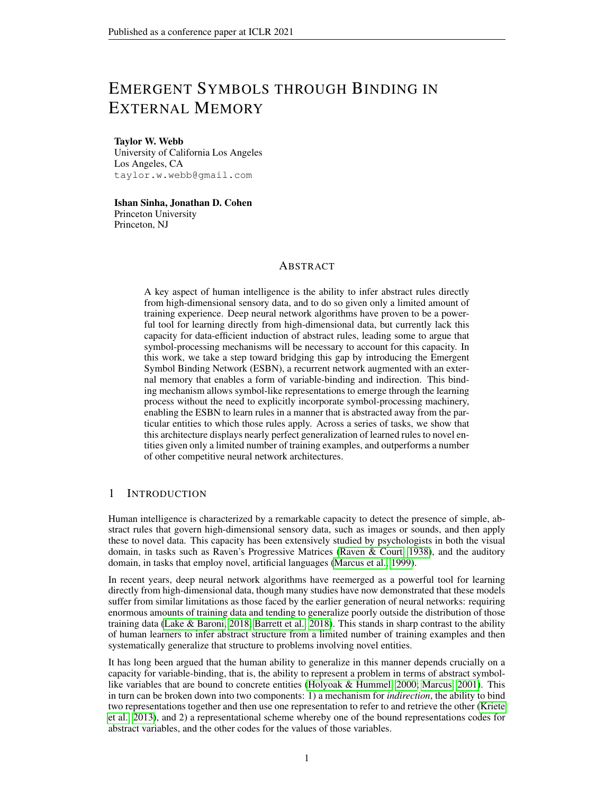Table 18: Results for identity rules task with convolutional (conv), multilayer perceptron (MLP), or random (rand) encoders. Results reflect test accuracy averaged over 10 trained networks ( the standard error of the mean).

|                      | $m=0$ |     | $m = 50$ |     | $m = 85$ |      | $m = 95$ |       |
|----------------------|-------|-----|----------|-----|----------|------|----------|-------|
|                      |       |     |          |     |          |      |          |       |
| ESBN (conv.)         | 99.6  | 0.2 | 99.6     | 0.1 | 99.9     | 0.04 | 99.2     | (0.4) |
| ESBN (MLP)           | 99.3  | 0.2 | 98.6     | 0.3 | 97.7     | 0.4  | 95.5     | 1.0   |
| ESBN (random)        | 100.0 | 0.0 | 100.0    | 0.0 | 100.0    | 0.0  | 100.0    | 0.0   |
| Transformer (conv.)  | 98.3  | 0.7 | 97.1     | 1.0 | 92.0     | 1.7  | 67.1     | 2.4   |
| Transformer (MLP)    | 85.5  | 4.0 | 84.8     | 3.8 | 86.4     | 2.3  | 59.8     | 1.5   |
| Transformer (random) | 47.8  |     | 51.4     | 1.9 | 48.6     |      | 27.5     | 0.6   |

#### A.5.5 CONFIDENCE ABLATION EXPERIMENT

In order to determine the importance of the confidence values appended to retrieved memories, we tested a version of the ESBN without these confidence values. These results are shown in Table 19 and Figure 7. The ablation of confidence values prevented the ESBN from being able to perform the same/different task at all, and resulted in much slower training on the RMTS task. By contrast, ablation of confidence values did not affect performance, either in terms of generalization or training time, for the distribution-of-three or identity rules tasks. This can be explained by the fact that these tasks only require the retrieval of the best match from memory, whereas the same/different and RMTS tasks require the model to know how good of a match the best match is, which is precisely the information conveyed by confidence values.

Table 19: Results for the confidence ablation experiment. Results reflect test accuracy averaged over 10 trained networks ( the standard error of the mean).

|                                         |               | $m = 50$<br>$m = 0$ |              |                       | $m = 85$     |              | $m = 95$     |            | $m = 98$ |       |
|-----------------------------------------|---------------|---------------------|--------------|-----------------------|--------------|--------------|--------------|------------|----------|-------|
| Same/different<br><b>RMTS</b>           | 50.0<br>99.95 | 0.02<br>0.01        | 50.0<br>99.9 | $0.0^{\circ}$<br>0.02 | 50.0<br>99.9 | 0.05<br>0.02 | 49.8<br>96.0 | 0.1<br>0.6 | 50.0     | (0.1) |
| Distribution-of-three<br>Identity rules | 99.2<br>99.6  | 0.2<br>0.1          | 99.0<br>99.6 | 0.3<br>0.2            | 99.5<br>99.8 | 0.3<br>0.1   | 99.8<br>99.2 | 0.1<br>02  |          |       |



Figure 7: Training accuracy time courses for the ESBN model without confidence values on the  $m = 0$  regime, shown with the time courses for all other models for comparison. Each time course reflects an average over 10 trained networks. Error bars reflect the standard error of the mean.

It is also worth noting one potential alternative to an explicit, inbuilt confidence value. In our implementation, the ESBN's memory is empty at the beginning of each sequence that it processes. However, when multiple entries are present in memory, as will generally be the case in realistic, temporally extended settings, the presentation of a previously unseen item will result in the retrieval of a mixture of (weakly matched) memories. This mixed representation can therefore serve as a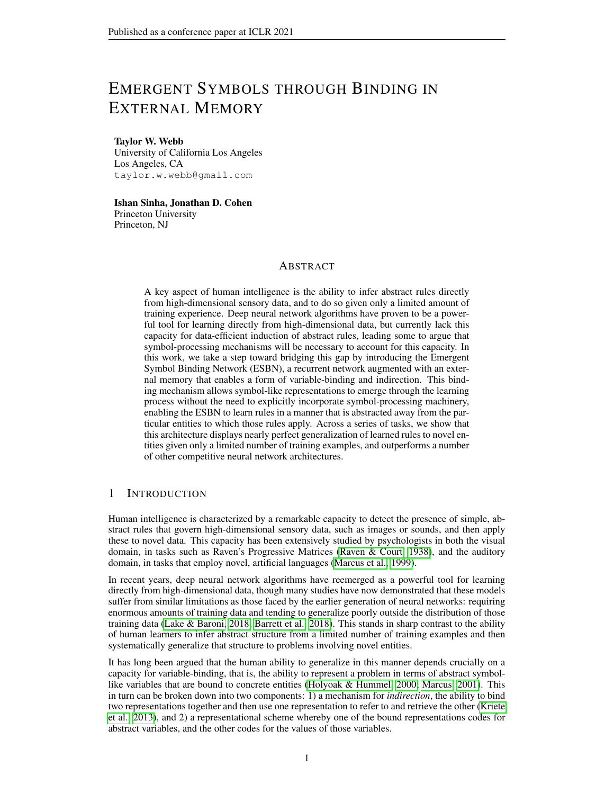reliable cue for the degree to which the current percept matches a stored memory, obviating the need for an explicit confidence value. To demonstrate this, we implemented a version of the ESBN that begins each sequence with a single, learned key/value entry stored in memory (initialized to 0 at the beginning of training). Table 20 shows that this approach allows the ESBN to learn and perfectly generalize on the same/different task. Figure 8 shows that this approach allows the ESBN to retain the short training time of the original model on the RMTS task.

Table 20: Results on the same/different task for the ESBN model with a learned default memory instead of confidence values. Results reflect test accuracy averaged over 10 trained networks ( the standard error of the mean).



Figure 8: Training accuracy time courses on  $m = 0$  regime of the RMTS task for the ESBN model with a learned default memory instead of confidence values. Each time course reflects an average over 10 trained networks. Error bars reflect the standard error of the mean.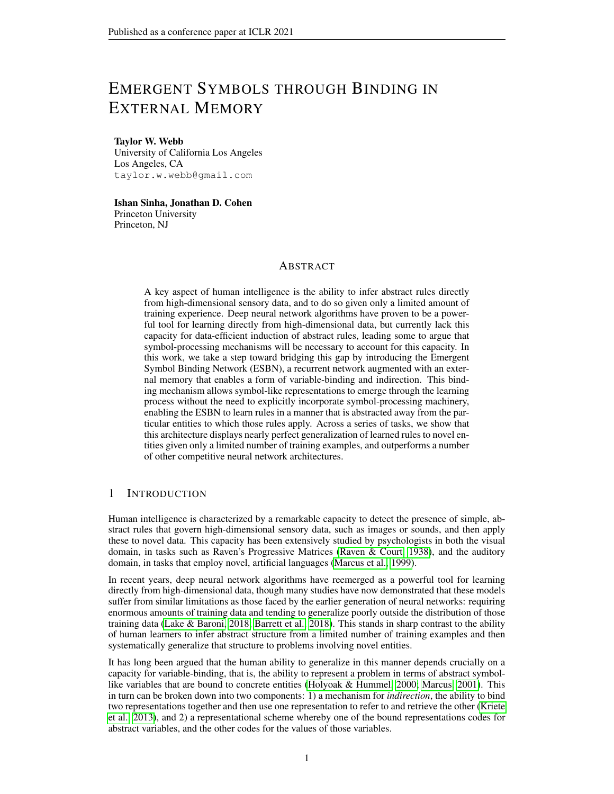#### A.6 ANALYSIS OF LEARNED REPRESENTATIONS



Figure 9: Representations learned by ESBN (projected along first two principal components). (a) Keys written to memory during time steps 1-9 (training set). (b) Keys written to memory during time steps 1-3 (training set vs. test set). (c) Keys retrieved from memory following second appearance of objects that first appeared during time steps 1-3 (training set vs. test set).

To better understand how the ESBN works, we performed an analysis of the representations that it learned on the distribution-of-three task. Specifically, we performed an analysis of a network trained on the most difficult generalization regime ( $m = 95$ ), by performing principal component analysis (PCA) on all key vectors written to and retrieved from memory for both the training and test sets, and visualizing these vectors along the first two principal components.

First, we looked at the keys that were written to memory  $(k_w)$ . We found that the keys for the first three time steps were tightly clustered, whereas the keys for the subsequent time steps (4-9) were more diffuse (Figures 9a and 9b). This makes sense because, in the distribution-of-three task, the ESBN only needs to be able to reliably retrieve what it wrote during the first three time steps (when the objects in the first row were presented). For time steps 4-9, the only important consideration is that the keys written to memory not overlap with those written during the first three time steps, which also appears to be the case.

Second, we compared the keys written to memory for the first three time steps in the training vs. test sets (Figure 9b). This revealed that, for a given time step, the keys written to memory in the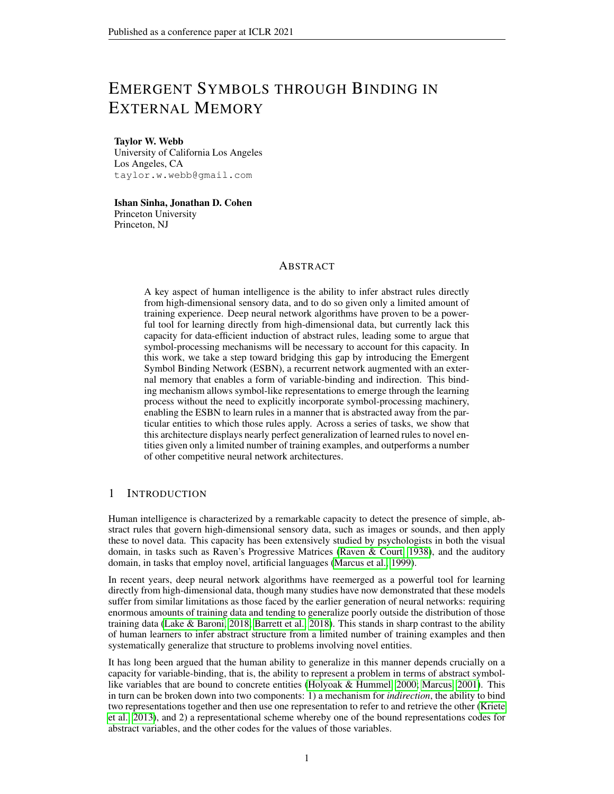training vs. test sets were remarkably similar (so much so that they are completely overlapping for time steps 1 and 2).

Third, we looked at the keys that were retrieved from memory following the second appearance of the objects that appeared on time steps 1-3. We found that 1) these closely matched the distribution of keys written to memory during time steps 1-3, and 2) these were highly overlapping for the training vs. test sets (Figure 9c).

Taken together, these results help to explain why the ESBN was so successful in this generalization regime, despite the very small degree of overlap between the distribution of training and test images. Because the ESBN's controller was relatively isolated from the part of the model that deals with image embeddings, it was able to learn to encode abstract symbol-like representations (such as 'first image', 'second image', and 'third image'), that did not depend on the identity of the images. Then, when queried with an image, was able to successfully retrieve the image's corresponding abstract encoding, even when that image was quite different than those observed during training. That is, the model learned representations to use as keys that could be used for binding and indirection in the same way that symbols are used in traditional computational architectures.